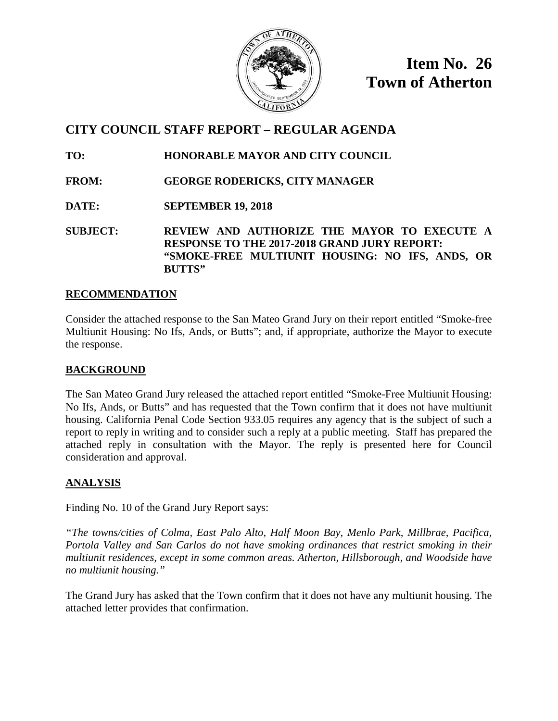

**Item No. 26 Town of Atherton**

# **CITY COUNCIL STAFF REPORT – REGULAR AGENDA**

**TO: HONORABLE MAYOR AND CITY COUNCIL**

- **FROM: GEORGE RODERICKS, CITY MANAGER**
- **DATE: SEPTEMBER 19, 2018**

**SUBJECT: REVIEW AND AUTHORIZE THE MAYOR TO EXECUTE A RESPONSE TO THE 2017-2018 GRAND JURY REPORT: "SMOKE-FREE MULTIUNIT HOUSING: NO IFS, ANDS, OR BUTTS"**

## **RECOMMENDATION**

Consider the attached response to the San Mateo Grand Jury on their report entitled "Smoke-free Multiunit Housing: No Ifs, Ands, or Butts"; and, if appropriate, authorize the Mayor to execute the response.

# **BACKGROUND**

The San Mateo Grand Jury released the attached report entitled "Smoke-Free Multiunit Housing: No Ifs, Ands, or Butts" and has requested that the Town confirm that it does not have multiunit housing. California Penal Code Section 933.05 requires any agency that is the subject of such a report to reply in writing and to consider such a reply at a public meeting. Staff has prepared the attached reply in consultation with the Mayor. The reply is presented here for Council consideration and approval.

# **ANALYSIS**

Finding No. 10 of the Grand Jury Report says:

*"The towns/cities of Colma, East Palo Alto, Half Moon Bay, Menlo Park, Millbrae, Pacifica, Portola Valley and San Carlos do not have smoking ordinances that restrict smoking in their multiunit residences, except in some common areas. Atherton, Hillsborough, and Woodside have no multiunit housing."*

The Grand Jury has asked that the Town confirm that it does not have any multiunit housing. The attached letter provides that confirmation.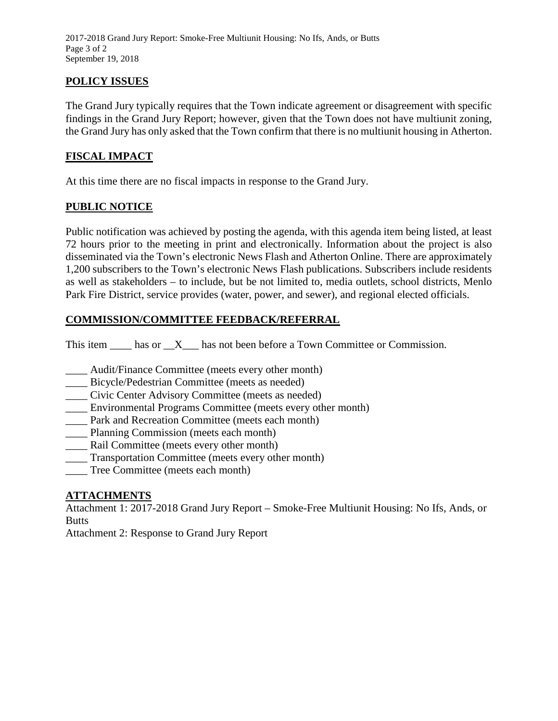2017-2018 Grand Jury Report: Smoke-Free Multiunit Housing: No Ifs, Ands, or Butts Page 3 of 2 September 19, 2018

## **POLICY ISSUES**

The Grand Jury typically requires that the Town indicate agreement or disagreement with specific findings in the Grand Jury Report; however, given that the Town does not have multiunit zoning, the Grand Jury has only asked that the Town confirm that there is no multiunit housing in Atherton.

#### **FISCAL IMPACT**

At this time there are no fiscal impacts in response to the Grand Jury.

#### **PUBLIC NOTICE**

Public notification was achieved by posting the agenda, with this agenda item being listed, at least 72 hours prior to the meeting in print and electronically. Information about the project is also disseminated via the Town's electronic News Flash and Atherton Online. There are approximately 1,200 subscribers to the Town's electronic News Flash publications. Subscribers include residents as well as stakeholders – to include, but be not limited to, media outlets, school districts, Menlo Park Fire District, service provides (water, power, and sewer), and regional elected officials.

#### **COMMISSION/COMMITTEE FEEDBACK/REFERRAL**

This item  $\_\_\_\$ has or  $\_\ X\_\_\$ has not been before a Town Committee or Commission.

- \_\_\_\_ Audit/Finance Committee (meets every other month)
- \_\_\_\_ Bicycle/Pedestrian Committee (meets as needed)
- \_\_\_\_ Civic Center Advisory Committee (meets as needed)
- \_\_\_\_ Environmental Programs Committee (meets every other month)
- Park and Recreation Committee (meets each month)
- \_\_\_\_ Planning Commission (meets each month)
- \_\_\_\_ Rail Committee (meets every other month)
- \_\_\_\_ Transportation Committee (meets every other month)
- Tree Committee (meets each month)

#### **ATTACHMENTS**

Attachment 1: 2017-2018 Grand Jury Report – Smoke-Free Multiunit Housing: No Ifs, Ands, or Butts

Attachment 2: Response to Grand Jury Report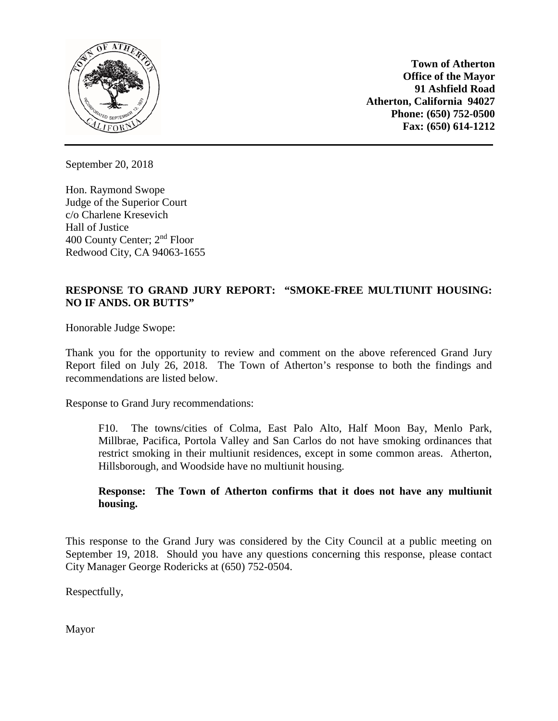

**Town of Atherton Office of the Mayor 91 Ashfield Road Atherton, California 94027 Phone: (650) 752-0500 Fax: (650) 614-1212**

September 20, 2018

Hon. Raymond Swope Judge of the Superior Court c/o Charlene Kresevich Hall of Justice 400 County Center; 2nd Floor Redwood City, CA 94063-1655

#### **RESPONSE TO GRAND JURY REPORT: "SMOKE-FREE MULTIUNIT HOUSING: NO IF ANDS. OR BUTTS"**

Honorable Judge Swope:

Thank you for the opportunity to review and comment on the above referenced Grand Jury Report filed on July 26, 2018. The Town of Atherton's response to both the findings and recommendations are listed below.

Response to Grand Jury recommendations:

F10. The towns/cities of Colma, East Palo Alto, Half Moon Bay, Menlo Park, Millbrae, Pacifica, Portola Valley and San Carlos do not have smoking ordinances that restrict smoking in their multiunit residences, except in some common areas. Atherton, Hillsborough, and Woodside have no multiunit housing.

#### **Response: The Town of Atherton confirms that it does not have any multiunit housing.**

This response to the Grand Jury was considered by the City Council at a public meeting on September 19, 2018. Should you have any questions concerning this response, please contact City Manager George Rodericks at (650) 752-0504.

Respectfully,

Mayor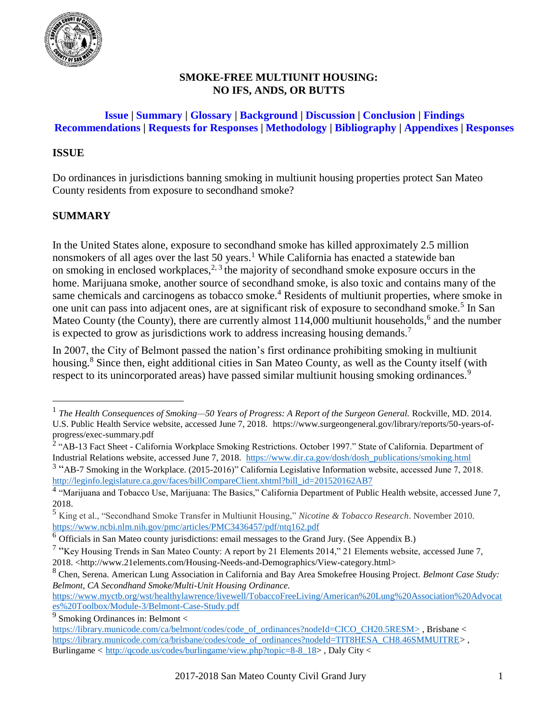<span id="page-3-0"></span>

## **SMOKE-FREE MULTIUNIT HOUSING: NO IFS, ANDS, OR BUTTS**

## **Issue | Summary | [Glossary](#page-5-0) | [Background](#page-5-0) | [Discussion](#page-11-0) | [Conclusion](#page-16-0) | [Findings](#page-16-0) [Recommendations](#page-19-0) | [Requests for](#page-20-0) Responses | [Methodology](#page-21-0) | [Bibliography](#page-22-0) | [Appendixes](#page-26-0) | [Responses](#page-32-0)**

### **ISSUE**

Do ordinances in jurisdictions banning smoking in multiunit housing properties protect San Mateo County residents from exposure to secondhand smoke?

# **SUMMARY**

 $\overline{a}$ 

In the United States alone, exposure to secondhand smoke has killed approximately 2.5 million nonsmokers of all ages over the last 50 years.<sup>1</sup> While California has enacted a statewide ban on smoking in enclosed workplaces,<sup>2, 3</sup> the majority of secondhand smoke exposure occurs in the home. Marijuana smoke, another source of secondhand smoke, is also toxic and contains many of the same chemicals and carcinogens as tobacco smoke.<sup>4</sup> Residents of multiunit properties, where smoke in one unit can pass into adjacent ones, are at significant risk of exposure to secondhand smoke.<sup>5</sup> In San Mateo County (the County), there are currently almost  $114,000$  multiunit households,  $6$  and the number is expected to grow as jurisdictions work to address increasing housing demands.<sup>7</sup>

In 2007, the City of Belmont passed the nation's first ordinance prohibiting smoking in multiunit housing.<sup>8</sup> Since then, eight additional cities in San Mateo County, as well as the County itself (with respect to its unincorporated areas) have passed similar multiunit housing smoking ordinances.<sup>9</sup>

<sup>1</sup> *The Health Consequences of Smoking—50 Years of Progress: A Report of the Surgeon General.* Rockville, MD. 2014. U.S. Public Health Service website, accessed June 7, 2018. https://www.surgeongeneral.gov/library/reports/50-years-ofprogress/exec-summary.pdf

<sup>&</sup>lt;sup>2</sup> "AB-13 Fact Sheet - California Workplace Smoking Restrictions. October 1997." State of California. Department of Industrial Relations website, accessed June 7, 2018. [https://www.dir.ca.gov/dosh/dosh\\_publications/smoking.html](https://www.dir.ca.gov/dosh/dosh_publications/smoking.html)

<sup>&</sup>lt;sup>3</sup> "AB-7 Smoking in the Workplace. (2015-2016)" California Legislative Information website, accessed June 7, 2018. [http://leginfo.legislature.ca.gov/faces/billCompareClient.xhtml?bill\\_id=201520162AB7](http://leginfo.legislature.ca.gov/faces/billCompareClient.xhtml?bill_id=201520162AB7)

<sup>&</sup>lt;sup>4</sup> "Marijuana and Tobacco Use, Marijuana: The Basics," California Department of Public Health website, accessed June 7, 2018.

<sup>5</sup> King et al., "Secondhand Smoke Transfer in Multiunit Housing," *Nicotine & Tobacco Research*. November 2010. <https://www.ncbi.nlm.nih.gov/pmc/articles/PMC3436457/pdf/ntq162.pdf>

<sup>6</sup> Officials in San Mateo county jurisdictions: email messages to the Grand Jury. (See Appendix B.)

<sup>&</sup>lt;sup>7</sup> "Key Housing Trends in San Mateo County: A report by 21 Elements 2014," 21 Elements website, accessed June 7, 2018. [<http://www.21elements.com/Housing-Needs-and-Demographics/View-category.html>](http://www.21elements.com/Housing-Needs-and-Demographics/View-category.html)

<sup>8</sup> Chen, Serena. American Lung Association in California and Bay Area Smokefree Housing Project. *Belmont Case Study: Belmont, CA Secondhand Smoke/Multi-Unit Housing Ordinance.*

[https://www.myctb.org/wst/healthylawrence/livewell/TobaccoFreeLiving/American%20Lung%20Association%20Advocat](https://www.myctb.org/wst/healthylawrence/livewell/TobaccoFreeLiving/American%20Lung%20Association%20Advocates%20Toolbox/Module-3/Belmont-Case-Study.pdf) [es%20Toolbox/Module-3/Belmont-Case-Study.pdf](https://www.myctb.org/wst/healthylawrence/livewell/TobaccoFreeLiving/American%20Lung%20Association%20Advocates%20Toolbox/Module-3/Belmont-Case-Study.pdf)

 $9$  Smoking Ordinances in: Belmont  $\lt$ 

[https://library.municode.com/ca/belmont/codes/code\\_of\\_ordinances?nodeId=CICO\\_CH20.5RESM>](https://library.municode.com/ca/belmont/codes/code_of_ordinances?nodeId=CICO_CH20.5RESM), Brisbane < [https://library.municode.com/ca/brisbane/codes/code\\_of\\_ordinances?nodeId=TIT8HESA\\_CH8.46SMMUITRE>](https://library.municode.com/ca/brisbane/codes/code_of_ordinances?nodeId=TIT8HESA_CH8.46SMMUITRE) , Burlingame < [http://qcode.us/codes/burlingame/view.php?topic=8-8\\_18>](http://qcode.us/codes/burlingame/view.php?topic=8-8_18) , Daly City <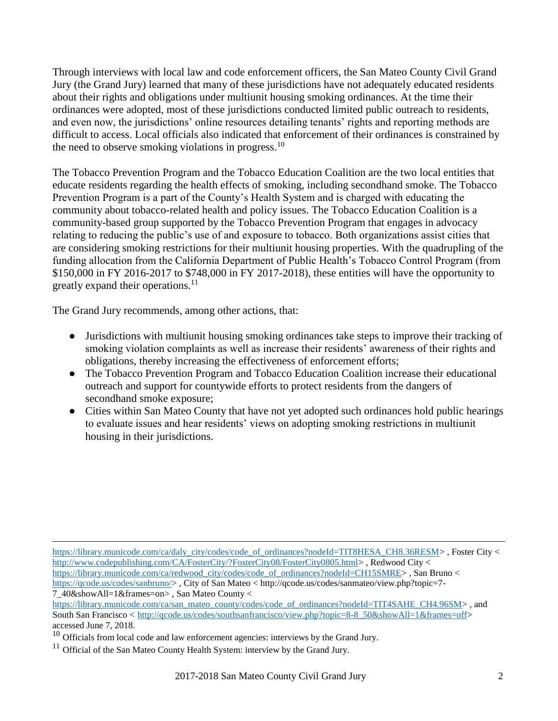Through interviews with local law and code enforcement officers, the San Mateo County Civil Grand Jury (the Grand Jury) learned that many of these jurisdictions have not adequately educated residents about their rights and obligations under multiunit housing smoking ordinances. At the time their ordinances were adopted, most of these jurisdictions conducted limited public outreach to residents, and even now, the jurisdictions' online resources detailing tenants' rights and reporting methods are difficult to access. Local officials also indicated that enforcement of their ordinances is constrained by the need to observe smoking violations in progress.<sup>10</sup>

The Tobacco Prevention Program and the Tobacco Education Coalition are the two local entities that educate residents regarding the health effects of smoking, including secondhand smoke. The Tobacco Prevention Program is a part of the County's Health System and is charged with educating the community about tobacco-related health and policy issues. The Tobacco Education Coalition is a community-based group supported by the Tobacco Prevention Program that engages in advocacy relating to reducing the public's use of and exposure to tobacco. Both organizations assist cities that are considering smoking restrictions for their multiunit housing properties. With the quadrupling of the funding allocation from the California Department of Public Health's Tobacco Control Program (from \$150,000 in FY 2016-2017 to \$748,000 in FY 2017-2018), these entities will have the opportunity to greatly expand their operations.<sup>11</sup>

The Grand Jury recommends, among other actions, that:

- Jurisdictions with multiunit housing smoking ordinances take steps to improve their tracking of smoking violation complaints as well as increase their residents' awareness of their rights and obligations*,* thereby increasing the effectiveness of enforcement efforts;
- The Tobacco Prevention Program and Tobacco Education Coalition increase their educational outreach and support for countywide efforts to protect residents from the dangers of secondhand smoke exposure;
- Cities within San Mateo County that have not yet adopted such ordinances hold public hearings to evaluate issues and hear residents' views on adopting smoking restrictions in multiunit housing in their jurisdictions.

 $\overline{a}$ [https://library.municode.com/ca/daly\\_city/codes/code\\_of\\_ordinances?nodeId=TIT8HESA\\_CH8.36RESM>](https://library.municode.com/ca/daly_city/codes/code_of_ordinances?nodeId=TIT8HESA_CH8.36RESM),Foster City < [http://www.codepublishing.com/CA/FosterCity/?FosterCity08/FosterCity0805.html>](http://www.codepublishing.com/CA/FosterCity/?FosterCity08/FosterCity0805.html) , Redwood City < [https://library.municode.com/ca/redwood\\_city/codes/code\\_of\\_ordinances?nodeId=CH15SMRE>](https://library.municode.com/ca/redwood_city/codes/code_of_ordinances?nodeId=CH15SMRE) , San Bruno <

[https://qcode.us/codes/sanbruno/>](https://qcode.us/codes/sanbruno/) , City of San Mateo < http://qcode.us/codes/sanmateo/view.php?topic=7- 7\_40&showAll=1&frames=on> , San Mateo County <

[https://library.municode.com/ca/san\\_mateo\\_county/codes/code\\_of\\_ordinances?nodeId=TIT4SAHE\\_CH4.96SM>](https://library.municode.com/ca/san_mateo_county/codes/code_of_ordinances?nodeId=TIT4SAHE_CH4.96SM), and South San Francisco < http://gcode.us/codes/southsanfrancisco/view.php?topic=8-8\_50&showAll=1&frames=off> accessed June 7, 2018.

 $10$  Officials from local code and law enforcement agencies: interviews by the Grand Jury.

 $11$  Official of the San Mateo County Health System: interview by the Grand Jury.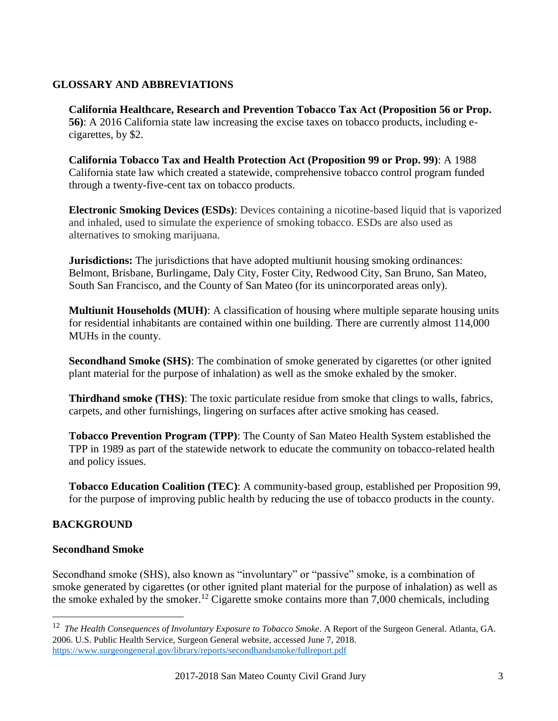## <span id="page-5-0"></span>**[GLOSSARY AND ABBREVIATIONS](#page-3-0)**

**California Healthcare, Research and Prevention Tobacco Tax Act (Proposition 56 or Prop. 56)**: A 2016 California state law increasing the excise taxes on tobacco products, including ecigarettes, by \$2.

**California Tobacco Tax and Health Protection Act (Proposition 99 or Prop. 99)**: A 1988 California state law which created a statewide, comprehensive tobacco control program funded through a twenty-five-cent tax on tobacco products.

**Electronic Smoking Devices (ESDs)**: Devices containing a nicotine-based liquid that is vaporized and inhaled, used to simulate the experience of smoking tobacco. ESDs are also used as alternatives to smoking marijuana.

**Jurisdictions:** The jurisdictions that have adopted multiunit housing smoking ordinances: Belmont, Brisbane, Burlingame, Daly City, Foster City, Redwood City, San Bruno, San Mateo, South San Francisco, and the County of San Mateo (for its unincorporated areas only).

**Multiunit Households (MUH)**: A classification of housing where multiple separate housing units for residential inhabitants are contained within one building. There are currently almost 114,000 MUHs in the county.

**Secondhand Smoke (SHS)**: The combination of smoke generated by cigarettes (or other ignited plant material for the purpose of inhalation) as well as the smoke exhaled by the smoker.

**Thirdhand smoke (THS)**: The toxic particulate residue from smoke that clings to walls, fabrics, carpets, and other furnishings, lingering on surfaces after active smoking has ceased.

**Tobacco Prevention Program (TPP)**: The County of San Mateo Health System established the TPP in 1989 as part of the statewide network to educate the community on tobacco-related health and policy issues.

**Tobacco Education Coalition (TEC)**: A community-based group, established per Proposition 99, for the purpose of improving public health by reducing the use of tobacco products in the county.

# **[BACKGROUND](#page-3-0)**

 $\overline{a}$ 

#### **Secondhand Smoke**

Secondhand smoke (SHS), also known as "involuntary" or "passive" smoke, is a combination of smoke generated by cigarettes (or other ignited plant material for the purpose of inhalation) as well as the smoke exhaled by the smoker.<sup>12</sup> Cigarette smoke contains more than 7,000 chemicals, including

<sup>12</sup> *The Health Consequences of Involuntary Exposure to Tobacco Smoke*. A Report of the Surgeon General. Atlanta, GA. 2006. U.S. Public Health Service, Surgeon General website, accessed June 7, 2018. <https://www.surgeongeneral.gov/library/reports/secondhandsmoke/fullreport.pdf>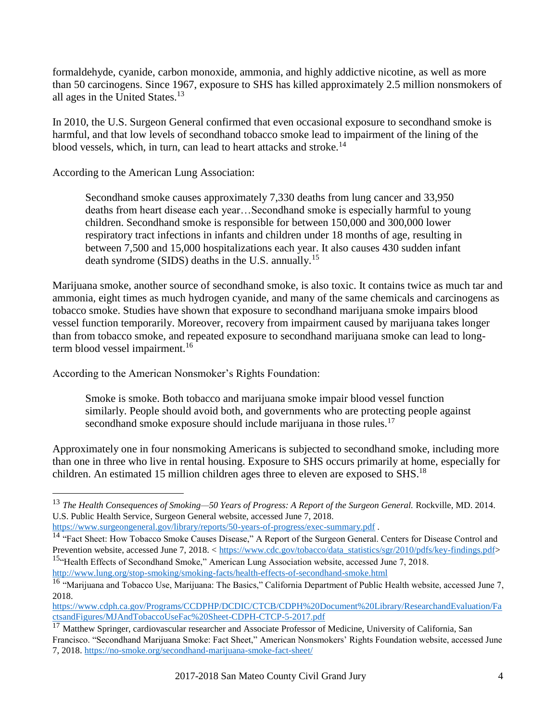formaldehyde, cyanide, carbon monoxide, ammonia, and highly addictive nicotine, as well as more than 50 carcinogens. Since 1967, exposure to SHS has killed approximately 2.5 million nonsmokers of all ages in the United States.<sup>13</sup>

In 2010, the U.S. Surgeon General confirmed that even occasional exposure to secondhand smoke is harmful, and that low levels of secondhand tobacco smoke lead to impairment of the lining of the blood vessels, which, in turn, can lead to heart attacks and stroke.<sup>14</sup>

According to the American Lung Association:

Secondhand smoke causes approximately 7,330 deaths from lung cancer and 33,950 deaths from heart disease each year…Secondhand smoke is especially harmful to young children. Secondhand smoke is responsible for between 150,000 and 300,000 lower respiratory tract infections in infants and children under 18 months of age, resulting in between 7,500 and 15,000 hospitalizations each year. It also causes 430 sudden infant death syndrome (SIDS) deaths in the U.S. annually.<sup>15</sup>

Marijuana smoke, another source of secondhand smoke, is also toxic. It contains twice as much tar and ammonia, eight times as much hydrogen cyanide, and many of the same chemicals and carcinogens as tobacco smoke. Studies have shown that exposure to secondhand marijuana smoke impairs blood vessel function temporarily. Moreover, recovery from impairment caused by marijuana takes longer than from tobacco smoke, and repeated exposure to secondhand marijuana smoke can lead to longterm blood vessel impairment.<sup>16</sup>

According to the American Nonsmoker's Rights Foundation:

 $\overline{a}$ 

Smoke is smoke. Both tobacco and marijuana smoke impair blood vessel function similarly. People should avoid both, and governments who are protecting people against secondhand smoke exposure should include marijuana in those rules.<sup>17</sup>

Approximately one in four nonsmoking Americans is subjected to secondhand smoke, including more than one in three who live in rental housing. Exposure to SHS occurs primarily at home, especially for children. An estimated 15 million children ages three to eleven are exposed to SHS.<sup>18</sup>

<sup>13</sup> *The Health Consequences of Smoking—50 Years of Progress: A Report of the Surgeon General.* Rockville, MD. 2014. U.S. Public Health Service, Surgeon General website, accessed June 7, 2018.

<https://www.surgeongeneral.gov/library/reports/50-years-of-progress/exec-summary.pdf> .

<sup>&</sup>lt;sup>14</sup> "Fact Sheet: How Tobacco Smoke Causes Disease," A Report of the Surgeon General. Centers for Disease Control and Prevention website, accessed June 7, 2018. < [https://www.cdc.gov/tobacco/data\\_statistics/sgr/2010/pdfs/key-findings.pdf>](https://www.cdc.gov/tobacco/data_statistics/sgr/2010/pdfs/key-findings.pdf) <sup>15.</sup> Health Effects of Secondhand Smoke," American Lung Association website, accessed June 7, 2018.

<http://www.lung.org/stop-smoking/smoking-facts/health-effects-of-secondhand-smoke.html>

 $16$  "Marijuana and Tobacco Use, Marijuana: The Basics," California Department of Public Health website, accessed June 7, 2018.

[https://www.cdph.ca.gov/Programs/CCDPHP/DCDIC/CTCB/CDPH%20Document%20Library/ResearchandEvaluation/Fa](https://www.cdph.ca.gov/Programs/CCDPHP/DCDIC/CTCB/CDPH%20Document%20Library/ResearchandEvaluation/FactsandFigures/MJAndTobaccoUseFac%20Sheet-CDPH-CTCP-5-2017.pdf) [ctsandFigures/MJAndTobaccoUseFac%20Sheet-CDPH-CTCP-5-2017.pdf](https://www.cdph.ca.gov/Programs/CCDPHP/DCDIC/CTCB/CDPH%20Document%20Library/ResearchandEvaluation/FactsandFigures/MJAndTobaccoUseFac%20Sheet-CDPH-CTCP-5-2017.pdf)

<sup>&</sup>lt;sup>17</sup> Matthew Springer, cardiovascular researcher and Associate Professor of Medicine, University of California, San Francisco. "Secondhand Marijuana Smoke: Fact Sheet," American Nonsmokers' Rights Foundation website, accessed June 7, 2018[. https://no-smoke.org/secondhand-marijuana-smoke-fact-sheet/](https://no-smoke.org/secondhand-marijuana-smoke-fact-sheet/)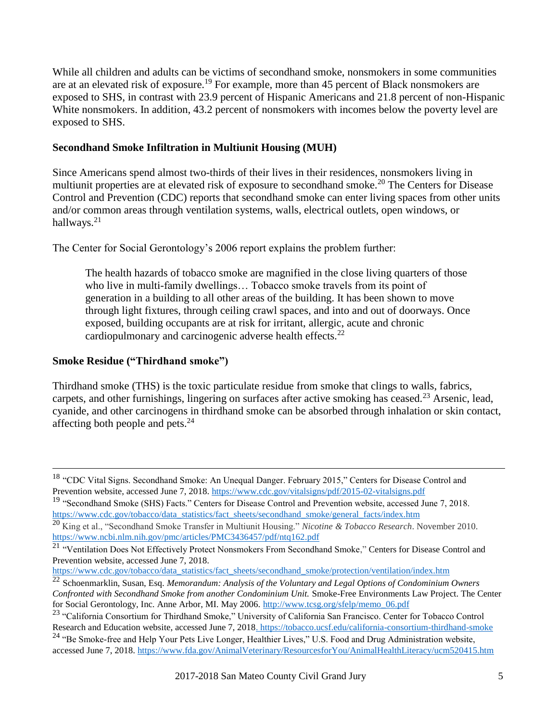While all children and adults can be victims of secondhand smoke, nonsmokers in some communities are at an elevated risk of exposure.<sup>19</sup> For example, more than 45 percent of Black nonsmokers are exposed to SHS, in contrast with 23.9 percent of Hispanic Americans and 21.8 percent of non-Hispanic White nonsmokers. In addition, 43.2 percent of nonsmokers with incomes below the poverty level are exposed to SHS.

#### **Secondhand Smoke Infiltration in Multiunit Housing (MUH)**

Since Americans spend almost two-thirds of their lives in their residences, nonsmokers living in multiunit properties are at elevated risk of exposure to secondhand smoke.<sup>20</sup> The Centers for Disease Control and Prevention (CDC) reports that secondhand smoke can enter living spaces from other units and/or common areas through ventilation systems, walls, electrical outlets, open windows, or hallways. $21$ 

The Center for Social Gerontology's 2006 report explains the problem further:

The health hazards of tobacco smoke are magnified in the close living quarters of those who live in multi-family dwellings… Tobacco smoke travels from its point of generation in a building to all other areas of the building. It has been shown to move through light fixtures, through ceiling crawl spaces, and into and out of doorways. Once exposed, building occupants are at risk for irritant, allergic, acute and chronic cardiopulmonary and carcinogenic adverse health effects. $^{22}$ 

### **Smoke Residue ("Thirdhand smoke")**

 $\overline{a}$ 

Thirdhand smoke (THS) is the toxic particulate residue from smoke that clings to walls, fabrics, carpets, and other furnishings, lingering on surfaces after active smoking has ceased.<sup>23</sup> Arsenic, lead, cyanide, and other carcinogens in thirdhand smoke can be absorbed through inhalation or skin contact, affecting both people and pets.<sup>24</sup>

<sup>&</sup>lt;sup>18</sup> "CDC Vital Signs. Secondhand Smoke: An Unequal Danger. February 2015," Centers for Disease Control and Prevention website, accessed June 7, 2018.<https://www.cdc.gov/vitalsigns/pdf/2015-02-vitalsigns.pdf>

<sup>&</sup>lt;sup>19</sup> "Secondhand Smoke (SHS) Facts." Centers for Disease Control and Prevention website, accessed June 7, 2018. [https://www.cdc.gov/tobacco/data\\_statistics/fact\\_sheets/secondhand\\_smoke/general\\_facts/index.htm](https://www.cdc.gov/tobacco/data_statistics/fact_sheets/secondhand_smoke/general_facts/index.htm) 

<sup>20</sup> King et al., "Secondhand Smoke Transfer in Multiunit Housing." *Nicotine & Tobacco Research*. November 2010. <https://www.ncbi.nlm.nih.gov/pmc/articles/PMC3436457/pdf/ntq162.pdf>

<sup>&</sup>lt;sup>21</sup> "Ventilation Does Not Effectively Protect Nonsmokers From Secondhand Smoke," Centers for Disease Control and Prevention website, accessed June 7, 2018.

[https://www.cdc.gov/tobacco/data\\_statistics/fact\\_sheets/secondhand\\_smoke/protection/ventilation/index.htm](https://www.cdc.gov/tobacco/data_statistics/fact_sheets/secondhand_smoke/protection/ventilation/index.htm) 

<sup>22</sup> Schoenmarklin, Susan, Esq. *Memorandum: Analysis of the Voluntary and Legal Options of Condominium Owners Confronted with Secondhand Smoke from another Condominium Unit.* Smoke-Free Environments Law Project. The Center for Social Gerontology, Inc. Anne Arbor, MI. May 2006. [http://www.tcsg.org/sfelp/memo\\_06.pdf](http://www.tcsg.org/sfelp/memo_06.pdf)

<sup>&</sup>lt;sup>23</sup> "California Consortium for Thirdhand Smoke," University of California San Francisco. Center for Tobacco Control Research and Education website, accessed June 7, 2018[. https://tobacco.ucsf.edu/california-consortium-thirdhand-smoke](https://tobacco.ucsf.edu/california-consortium-thirdhand-smoke) <sup>24</sup> "Be Smoke-free and Help Your Pets Live Longer, Healthier Lives," U.S. Food and Drug Administration website, accessed June 7, 2018.<https://www.fda.gov/AnimalVeterinary/ResourcesforYou/AnimalHealthLiteracy/ucm520415.htm>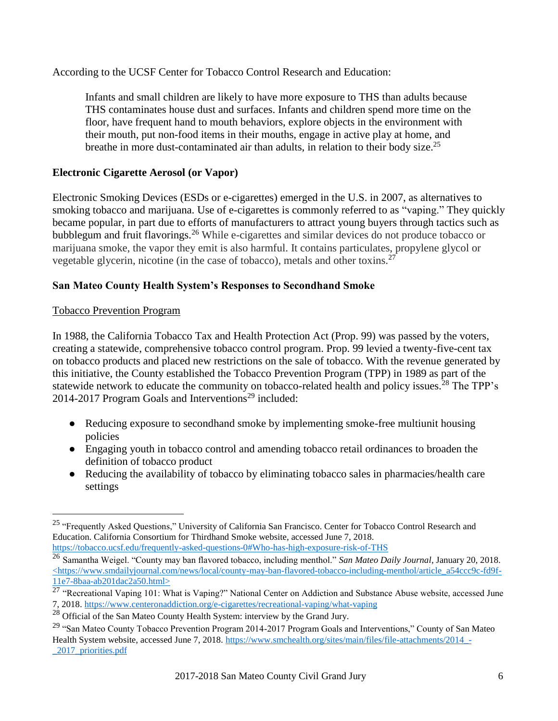According to the UCSF Center for Tobacco Control Research and Education:

Infants and small children are likely to have more exposure to THS than adults because THS contaminates house dust and surfaces. Infants and children spend more time on the floor, have frequent hand to mouth behaviors, explore objects in the environment with their mouth, put non-food items in their mouths, engage in active play at home, and breathe in more dust-contaminated air than adults, in relation to their body size.<sup>25</sup>

## **Electronic Cigarette Aerosol (or Vapor)**

Electronic Smoking Devices (ESDs or e-cigarettes) emerged in the U.S. in 2007, as alternatives to smoking tobacco and marijuana. Use of e-cigarettes is commonly referred to as "vaping." They quickly became popular, in part due to efforts of manufacturers to attract young buyers through tactics such as bubblegum and fruit flavorings.<sup>26</sup> While e-cigarettes and similar devices do not produce tobacco or marijuana smoke, the vapor they emit is also harmful. It contains particulates, propylene glycol or vegetable glycerin, nicotine (in the case of tobacco), metals and other toxins.<sup>27</sup>

# **San Mateo County Health System's Responses to Secondhand Smoke**

## Tobacco Prevention Program

 $\overline{a}$ 

In 1988, the California Tobacco Tax and Health Protection Act (Prop. 99) was passed by the voters, creating a statewide, comprehensive tobacco control program. Prop. 99 levied a twenty-five-cent tax on tobacco products and placed new restrictions on the sale of tobacco. With the revenue generated by this initiative, the County established the Tobacco Prevention Program (TPP) in 1989 as part of the statewide network to educate the community on tobacco-related health and policy issues.<sup>28</sup> The TPP's 2014-2017 Program Goals and Interventions<sup>29</sup> included:

- Reducing exposure to secondhand smoke by implementing smoke-free multiunit housing policies
- Engaging youth in tobacco control and amending tobacco retail ordinances to broaden the definition of tobacco product
- Reducing the availability of tobacco by eliminating tobacco sales in pharmacies/health care settings

<sup>&</sup>lt;sup>25</sup> "Frequently Asked Questions," University of California San Francisco. Center for Tobacco Control Research and Education. California Consortium for Thirdhand Smoke website, accessed June 7, 2018. <https://tobacco.ucsf.edu/frequently-asked-questions-0#Who-has-high-exposure-risk-of-THS>

<sup>26</sup> Samantha Weigel. "County may ban flavored tobacco, including menthol." *San Mateo Daily Journal*, January 20, 2018. [<https://www.smdailyjournal.com/news/local/county-may-ban-flavored-tobacco-including-menthol/article\\_a54ccc9c-fd9f-](https://www.smdailyjournal.com/news/local/county-may-ban-flavored-tobacco-including-menthol/article_a54ccc9c-fd9f-11e7-8baa-ab201dac2a50.html)[11e7-8baa-ab201dac2a50.html>](https://www.smdailyjournal.com/news/local/county-may-ban-flavored-tobacco-including-menthol/article_a54ccc9c-fd9f-11e7-8baa-ab201dac2a50.html)

<sup>&</sup>lt;sup>27</sup> "Recreational Vaping 101: What is Vaping?" National Center on Addiction and Substance Abuse website, accessed June 7, 2018[. https://www.centeronaddiction.org/e-cigarettes/recreational-vaping/what-vaping](https://www.centeronaddiction.org/e-cigarettes/recreational-vaping/what-vaping)

<sup>&</sup>lt;sup>28</sup> Official of the San Mateo County Health System: interview by the Grand Jury.

<sup>&</sup>lt;sup>29</sup> "San Mateo County Tobacco Prevention Program 2014-2017 Program Goals and Interventions," County of San Mateo Health System website, accessed June 7, 2018. [https://www.smchealth.org/sites/main/files/file-attachments/2014\\_-](https://www.smchealth.org/sites/main/files/file-attachments/2014_-_2017_priorities.pdf) [\\_2017\\_priorities.pdf](https://www.smchealth.org/sites/main/files/file-attachments/2014_-_2017_priorities.pdf)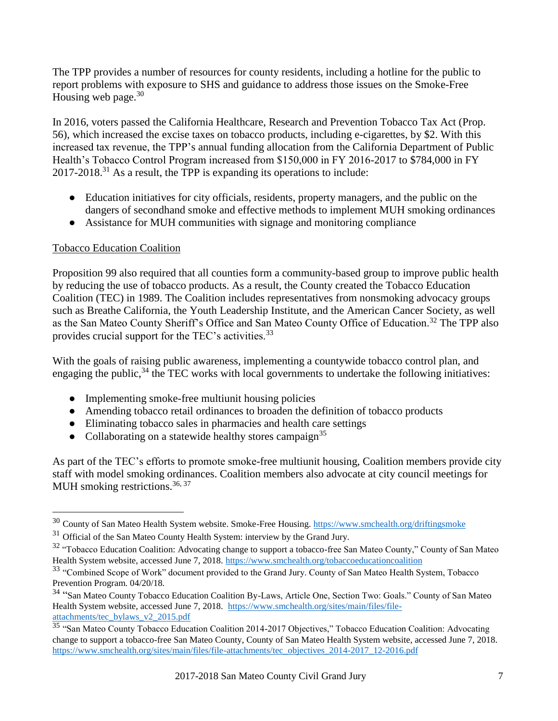The TPP provides a number of resources for county residents, including a hotline for the public to report problems with exposure to SHS and guidance to address those issues on the Smoke-Free Housing web page. $30$ 

In 2016, voters passed the California Healthcare, Research and Prevention Tobacco Tax Act (Prop. 56), which increased the excise taxes on tobacco products, including e-cigarettes, by \$2. With this increased tax revenue, the TPP's annual funding allocation from the California Department of Public Health's Tobacco Control Program increased from \$150,000 in FY 2016-2017 to \$784,000 in FY  $2017-2018$ <sup>31</sup> As a result, the TPP is expanding its operations to include:

- Education initiatives for city officials, residents, property managers, and the public on the dangers of secondhand smoke and effective methods to implement MUH smoking ordinances
- Assistance for MUH communities with signage and monitoring compliance

## Tobacco Education Coalition

 $\overline{a}$ 

Proposition 99 also required that all counties form a community-based group to improve public health by reducing the use of tobacco products. As a result, the County created the Tobacco Education Coalition (TEC) in 1989. The Coalition includes representatives from nonsmoking advocacy groups such as Breathe California, the Youth Leadership Institute, and the American Cancer Society, as well as the San Mateo County Sheriff's Office and San Mateo County Office of Education.<sup>32</sup> The TPP also provides crucial support for the TEC's activities.<sup>33</sup>

With the goals of raising public awareness, implementing a countywide tobacco control plan, and engaging the public,  $34$  the TEC works with local governments to undertake the following initiatives:

- Implementing smoke-free multiunit housing policies
- Amending tobacco retail ordinances to broaden the definition of tobacco products
- Eliminating tobacco sales in pharmacies and health care settings
- Collaborating on a statewide healthy stores campaign<sup>35</sup>

As part of the TEC's efforts to promote smoke-free multiunit housing, Coalition members provide city staff with model smoking ordinances. Coalition members also advocate at city council meetings for MUH smoking restrictions.  $36, 37$ 

<sup>&</sup>lt;sup>30</sup> County of San Mateo Health System website. Smoke-Free Housing.<https://www.smchealth.org/driftingsmoke>

 $31$  Official of the San Mateo County Health System: interview by the Grand Jury.

<sup>&</sup>lt;sup>32</sup> "Tobacco Education Coalition: Advocating change to support a tobacco-free San Mateo County," County of San Mateo Health System website, accessed June 7, 2018.<https://www.smchealth.org/tobaccoeducationcoalition>

<sup>&</sup>lt;sup>33</sup> "Combined Scope of Work" document provided to the Grand Jury. County of San Mateo Health System, Tobacco Prevention Program. 04/20/18.

<sup>&</sup>lt;sup>34</sup> "San Mateo County Tobacco Education Coalition By-Laws, Article One, Section Two: Goals." County of San Mateo Health System website, accessed June 7, 2018. [https://www.smchealth.org/sites/main/files/file](https://www.smchealth.org/sites/main/files/file-attachments/tec_bylaws_v2_2015.pdf)[attachments/tec\\_bylaws\\_v2\\_2015.pdf](https://www.smchealth.org/sites/main/files/file-attachments/tec_bylaws_v2_2015.pdf)

<sup>35 &</sup>quot;San Mateo County Tobacco Education Coalition 2014-2017 Objectives," Tobacco Education Coalition: Advocating change to support a tobacco-free San Mateo County, County of San Mateo Health System website, accessed June 7, 2018. [https://www.smchealth.org/sites/main/files/file-attachments/tec\\_objectives\\_2014-2017\\_12-2016.pdf](https://www.smchealth.org/sites/main/files/file-attachments/tec_objectives_2014-2017_12-2016.pdf)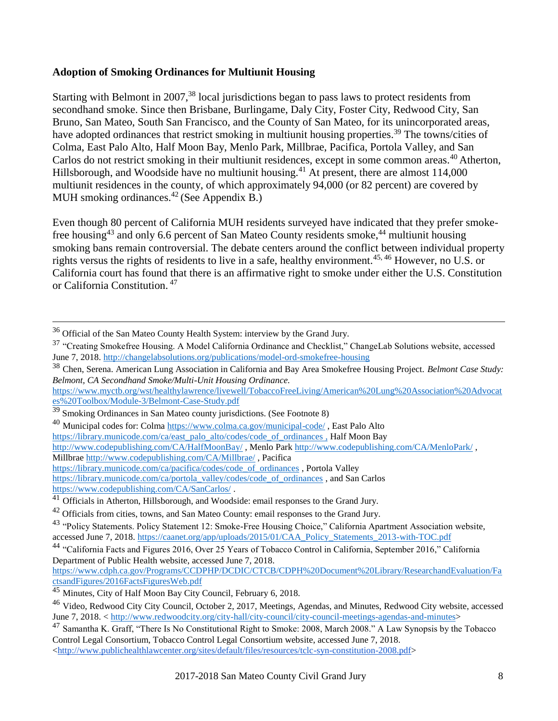#### **Adoption of Smoking Ordinances for Multiunit Housing**

Starting with Belmont in 2007,<sup>38</sup> local jurisdictions began to pass laws to protect residents from secondhand smoke. Since then Brisbane, Burlingame, Daly City, Foster City, Redwood City, San Bruno, San Mateo, South San Francisco, and the County of San Mateo, for its unincorporated areas, have adopted ordinances that restrict smoking in multiunit housing properties.<sup>39</sup> The towns/cities of Colma, East Palo Alto, Half Moon Bay, Menlo Park, Millbrae, Pacifica, Portola Valley, and San Carlos do not restrict smoking in their multiunit residences, except in some common areas.<sup>40</sup> Atherton, Hillsborough, and Woodside have no multiunit housing.<sup>41</sup> At present, there are almost 114,000 multiunit residences in the county, of which approximately 94,000 (or 82 percent) are covered by MUH smoking ordinances. $42$  (See Appendix B.)

Even though 80 percent of California MUH residents surveyed have indicated that they prefer smokefree housing<sup>43</sup> and only 6.6 percent of San Mateo County residents smoke,<sup>44</sup> multiunit housing smoking bans remain controversial. The debate centers around the conflict between individual property rights versus the rights of residents to live in a safe, healthy environment.<sup>45, 46</sup> However, no U.S. or California court has found that there is an affirmative right to smoke under either the U.S. Constitution or California Constitution. 47

 $\overline{a}$ 

 $36$  Official of the San Mateo County Health System: interview by the Grand Jury.

<sup>&</sup>lt;sup>37</sup> "Creating Smokefree Housing. A Model California Ordinance and Checklist," ChangeLab Solutions website, accessed June 7, 2018.<http://changelabsolutions.org/publications/model-ord-smokefree-housing>

<sup>38</sup> Chen, Serena. American Lung Association in California and Bay Area Smokefree Housing Project. *Belmont Case Study: Belmont, CA Secondhand Smoke/Multi-Unit Housing Ordinance.*

[https://www.myctb.org/wst/healthylawrence/livewell/TobaccoFreeLiving/American%20Lung%20Association%20Advocat](https://www.myctb.org/wst/healthylawrence/livewell/TobaccoFreeLiving/American%20Lung%20Association%20Advocates%20Toolbox/Module-3/Belmont-Case-Study.pdf) [es%20Toolbox/Module-3/Belmont-Case-Study.pdf](https://www.myctb.org/wst/healthylawrence/livewell/TobaccoFreeLiving/American%20Lung%20Association%20Advocates%20Toolbox/Module-3/Belmont-Case-Study.pdf)

 $39$  Smoking Ordinances in San Mateo county jurisdictions. (See Footnote 8)

<sup>&</sup>lt;sup>40</sup> Municipal codes for: Colm[a https://www.colma.ca.gov/municipal-code/](https://www.colma.ca.gov/municipal-code/), East Palo Alto

[https://library.municode.com/ca/east\\_palo\\_alto/codes/code\\_of\\_ordinances](https://library.municode.com/ca/east_palo_alto/codes/code_of_ordinances) , Half Moon Bay

<http://www.codepublishing.com/CA/HalfMoonBay/>, Menlo Par[k http://www.codepublishing.com/CA/MenloPark/](http://www.codepublishing.com/CA/MenloPark/),

Millbrae<http://www.codepublishing.com/CA/Millbrae/> , Pacifica

[https://library.municode.com/ca/pacifica/codes/code\\_of\\_ordinances](https://library.municode.com/ca/pacifica/codes/code_of_ordinances) , Portola Valley

[https://library.municode.com/ca/portola\\_valley/codes/code\\_of\\_ordinances](https://library.municode.com/ca/portola_valley/codes/code_of_ordinances) , and San Carlos <https://www.codepublishing.com/CA/SanCarlos/> .

<sup>&</sup>lt;sup>41</sup> Officials in Atherton, Hillsborough, and Woodside: email responses to the Grand Jury.

 $42$  Officials from cities, towns, and San Mateo County: email responses to the Grand Jury.

<sup>&</sup>lt;sup>43</sup> "Policy Statements. Policy Statement 12: Smoke-Free Housing Choice," California Apartment Association website, accessed June 7, 2018. [https://caanet.org/app/uploads/2015/01/CAA\\_Policy\\_Statements\\_2013-with-TOC.pdf](https://caanet.org/app/uploads/2015/01/CAA_Policy_Statements_2013-with-TOC.pdf)

<sup>44</sup> "California Facts and Figures 2016, Over 25 Years of Tobacco Control in California, September 2016," California Department of Public Health website, accessed June 7, 2018.

[https://www.cdph.ca.gov/Programs/CCDPHP/DCDIC/CTCB/CDPH%20Document%20Library/ResearchandEvaluation/Fa](https://www.cdph.ca.gov/Programs/CCDPHP/DCDIC/CTCB/CDPH%20Document%20Library/ResearchandEvaluation/FactsandFigures/2016FactsFiguresWeb.pdf) [ctsandFigures/2016FactsFiguresWeb.pdf](https://www.cdph.ca.gov/Programs/CCDPHP/DCDIC/CTCB/CDPH%20Document%20Library/ResearchandEvaluation/FactsandFigures/2016FactsFiguresWeb.pdf)

<sup>&</sup>lt;sup>45</sup> Minutes, City of Half Moon Bay City Council, February 6, 2018.

<sup>&</sup>lt;sup>46</sup> Video, Redwood City City Council, October 2, 2017, Meetings, Agendas, and Minutes, Redwood City website, accessed June 7, 2018. [< http://www.redwoodcity.org/city-hall/city-council/city-council-meetings-agendas-and-minutes>](http://www.redwoodcity.org/city-hall/city-council/city-council-meetings-agendas-and-minutes)

<sup>47</sup> Samantha K. Graff, "There Is No Constitutional Right to Smoke: 2008, March 2008." A Law Synopsis by the Tobacco Control Legal Consortium, Tobacco Control Legal Consortium website, accessed June 7, 2018. [<http://www.publichealthlawcenter.org/sites/default/files/resources/tclc-syn-constitution-2008.pdf>](http://www.publichealthlawcenter.org/sites/default/files/resources/tclc-syn-constitution-2008.pdf)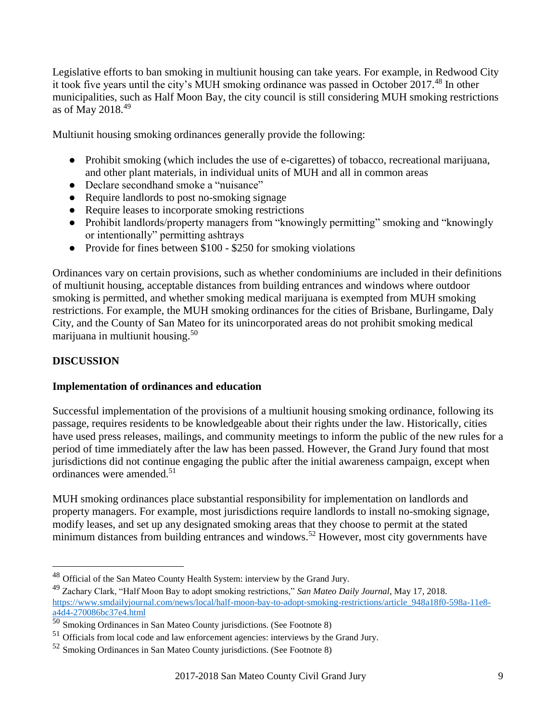<span id="page-11-0"></span>Legislative efforts to ban smoking in multiunit housing can take years. For example, in Redwood City it took five years until the city's MUH smoking ordinance was passed in October 2017.<sup>48</sup> In other municipalities, such as Half Moon Bay, the city council is still considering MUH smoking restrictions as of May 2018. $49$ 

Multiunit housing smoking ordinances generally provide the following:

- Prohibit smoking (which includes the use of e-cigarettes) of tobacco, recreational marijuana, and other plant materials, in individual units of MUH and all in common areas
- Declare secondhand smoke a "nuisance"
- Require landlords to post no-smoking signage
- Require leases to incorporate smoking restrictions
- Prohibit landlords/property managers from "knowingly permitting" smoking and "knowingly or intentionally" permitting ashtrays
- Provide for fines between \$100 \$250 for smoking violations

Ordinances vary on certain provisions, such as whether condominiums are included in their definitions of multiunit housing, acceptable distances from building entrances and windows where outdoor smoking is permitted, and whether smoking medical marijuana is exempted from MUH smoking restrictions. For example, the MUH smoking ordinances for the cities of Brisbane, Burlingame, Daly City, and the County of San Mateo for its unincorporated areas do not prohibit smoking medical marijuana in multiunit housing. 50

# **[DISCUSSION](#page-3-0)**

 $\overline{a}$ 

#### **Implementation of ordinances and education**

Successful implementation of the provisions of a multiunit housing smoking ordinance, following its passage, requires residents to be knowledgeable about their rights under the law. Historically, cities have used press releases, mailings, and community meetings to inform the public of the new rules for a period of time immediately after the law has been passed. However, the Grand Jury found that most jurisdictions did not continue engaging the public after the initial awareness campaign, except when ordinances were amended.<sup>51</sup>

MUH smoking ordinances place substantial responsibility for implementation on landlords and property managers. For example, most jurisdictions require landlords to install no-smoking signage, modify leases, and set up any designated smoking areas that they choose to permit at the stated minimum distances from building entrances and windows.<sup>52</sup> However, most city governments have

<sup>&</sup>lt;sup>48</sup> Official of the San Mateo County Health System: interview by the Grand Jury.

<sup>49</sup> Zachary Clark, "Half Moon Bay to adopt smoking restrictions," *San Mateo Daily Journal*, May 17, 2018. [https://www.smdailyjournal.com/news/local/half-moon-bay-to-adopt-smoking-restrictions/article\\_948a18f0-598a-11e8](https://www.smdailyjournal.com/news/local/half-moon-bay-to-adopt-smoking-restrictions/article_948a18f0-598a-11e8-a4d4-270086bc37e4.html) [a4d4-270086bc37e4.html](https://www.smdailyjournal.com/news/local/half-moon-bay-to-adopt-smoking-restrictions/article_948a18f0-598a-11e8-a4d4-270086bc37e4.html) 

<sup>50</sup> Smoking Ordinances in San Mateo County jurisdictions. (See Footnote 8)

<sup>&</sup>lt;sup>51</sup> Officials from local code and law enforcement agencies: interviews by the Grand Jury.

<sup>52</sup> Smoking Ordinances in San Mateo County jurisdictions. (See Footnote 8)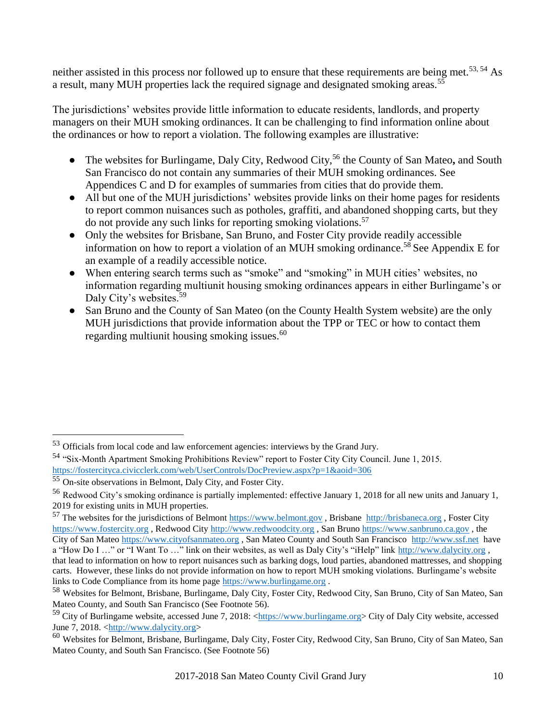neither assisted in this process nor followed up to ensure that these requirements are being met.<sup>53, 54</sup> As a result, many MUH properties lack the required signage and designated smoking areas.<sup>55</sup>

The jurisdictions' websites provide little information to educate residents, landlords, and property managers on their MUH smoking ordinances. It can be challenging to find information online about the ordinances or how to report a violation. The following examples are illustrative:

- The websites for Burlingame, Daly City, Redwood City,<sup>56</sup> the County of San Mateo**,** and South San Francisco do not contain any summaries of their MUH smoking ordinances. See Appendices C and D for examples of summaries from cities that do provide them.
- All but one of the MUH jurisdictions' websites provide links on their home pages for residents to report common nuisances such as potholes, graffiti, and abandoned shopping carts, but they do not provide any such links for reporting smoking violations.<sup>57</sup>
- Only the websites for Brisbane, San Bruno, and Foster City provide readily accessible information on how to report a violation of an MUH smoking ordinance.<sup>58</sup> See Appendix E for an example of a readily accessible notice.
- When entering search terms such as "smoke" and "smoking" in MUH cities' websites, no information regarding multiunit housing smoking ordinances appears in either Burlingame's or Daly City's websites.<sup>59</sup>
- San Bruno and the County of San Mateo (on the County Health System website) are the only MUH jurisdictions that provide information about the TPP or TEC or how to contact them regarding multiunit housing smoking issues.<sup>60</sup>

 $\overline{a}$ 

links to Code Compliance from its home page [https://www.burlingame.org](https://www.burlingame.org/).

<sup>53</sup> Officials from local code and law enforcement agencies: interviews by the Grand Jury.

<sup>54</sup> "Six-Month Apartment Smoking Prohibitions Review" report to Foster City City Council. June 1, 2015. <https://fostercityca.civicclerk.com/web/UserControls/DocPreview.aspx?p=1&aoid=306>

<sup>55</sup> On-site observations in Belmont, Daly City, and Foster City.

<sup>56</sup> Redwood City's smoking ordinance is partially implemented: effective January 1, 2018 for all new units and January 1, 2019 for existing units in MUH properties.

<sup>57</sup> The websites for the jurisdictions of Belmon[t https://www.belmont.gov](https://www.belmont.gov/) , Brisbane [http://brisbaneca.org](http://brisbaneca.org/) , Foster City [https://www.fostercity.org](https://www.fostercity.org/) , Redwood City [http://www.redwoodcity.org](http://www.redwoodcity.org/) , San Bruno [https://www.sanbruno.ca.gov](https://www.sanbruno.ca.gov/) , the City of San Mate[o https://www.cityofsanmateo.org](https://www.cityofsanmateo.org/) , San Mateo County and South San Francisco [http://www.ssf.net](http://www.ssf.net/) have a "How Do I ..." or "I Want To ..." link on their websites, as well as Daly City's "iHelp" link [http://www.dalycity.org](http://www.dalycity.org/), that lead to information on how to report nuisances such as barking dogs, loud parties, abandoned mattresses, and shopping carts. However, these links do not provide information on how to report MUH smoking violations. Burlingame's website

<sup>58</sup> Websites for Belmont, Brisbane, Burlingame, Daly City, Foster City, Redwood City, San Bruno, City of San Mateo, San Mateo County, and South San Francisco (See Footnote 56).

 $^{59}$  City of Burlingame website, accessed June 7, 2018: < $\frac{https://www.burlingame.org>}$  City of Daly City website, accessed June 7, 2018. [<http://www.dalycity.org>](http://www.dalycity.org/)

<sup>60</sup> Websites for Belmont, Brisbane, Burlingame, Daly City, Foster City, Redwood City, San Bruno, City of San Mateo, San Mateo County, and South San Francisco. (See Footnote 56)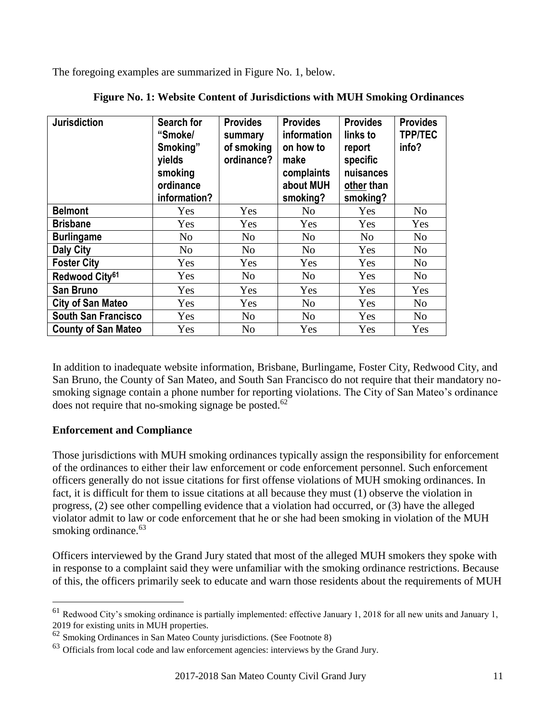The foregoing examples are summarized in Figure No. 1, below.

| <b>Jurisdiction</b>        | Search for<br>"Smoke/<br>Smoking"<br>yields<br>smoking<br>ordinance<br>information? | <b>Provides</b><br>summary<br>of smoking<br>ordinance? | <b>Provides</b><br>information<br>on how to<br>make<br>complaints<br>about MUH<br>smoking? | <b>Provides</b><br>links to<br>report<br>specific<br>nuisances<br>other than<br>smoking? | <b>Provides</b><br><b>TPP/TEC</b><br>info? |
|----------------------------|-------------------------------------------------------------------------------------|--------------------------------------------------------|--------------------------------------------------------------------------------------------|------------------------------------------------------------------------------------------|--------------------------------------------|
| <b>Belmont</b>             | Yes                                                                                 | Yes                                                    | N <sub>0</sub>                                                                             | Yes                                                                                      | N <sub>o</sub>                             |
| <b>Brisbane</b>            | Yes                                                                                 | Yes                                                    | Yes                                                                                        | Yes                                                                                      | Yes                                        |
| <b>Burlingame</b>          | N <sub>o</sub>                                                                      | N <sub>0</sub>                                         | N <sub>o</sub>                                                                             | N <sub>o</sub>                                                                           | N <sub>o</sub>                             |
| <b>Daly City</b>           | N <sub>o</sub>                                                                      | N <sub>0</sub>                                         | N <sub>o</sub>                                                                             | Yes                                                                                      | N <sub>o</sub>                             |
| <b>Foster City</b>         | Yes                                                                                 | Yes                                                    | Yes                                                                                        | Yes                                                                                      | N <sub>o</sub>                             |
| Redwood City <sup>61</sup> | Yes                                                                                 | N <sub>o</sub>                                         | N <sub>o</sub>                                                                             | Yes                                                                                      | N <sub>o</sub>                             |
| <b>San Bruno</b>           | Yes                                                                                 | Yes                                                    | Yes                                                                                        | Yes                                                                                      | Yes                                        |
| <b>City of San Mateo</b>   | Yes                                                                                 | Yes                                                    | N <sub>0</sub>                                                                             | Yes                                                                                      | No                                         |
| <b>South San Francisco</b> | Yes                                                                                 | N <sub>o</sub>                                         | N <sub>0</sub>                                                                             | Yes                                                                                      | N <sub>o</sub>                             |
| <b>County of San Mateo</b> | Yes                                                                                 | N <sub>0</sub>                                         | Yes                                                                                        | Yes                                                                                      | Yes                                        |

|  |  |  |  | Figure No. 1: Website Content of Jurisdictions with MUH Smoking Ordinances |
|--|--|--|--|----------------------------------------------------------------------------|
|  |  |  |  |                                                                            |

In addition to inadequate website information, Brisbane, Burlingame, Foster City, Redwood City, and San Bruno, the County of San Mateo, and South San Francisco do not require that their mandatory nosmoking signage contain a phone number for reporting violations. The City of San Mateo's ordinance does not require that no-smoking signage be posted. $62$ 

#### **Enforcement and Compliance**

 $\overline{a}$ 

Those jurisdictions with MUH smoking ordinances typically assign the responsibility for enforcement of the ordinances to either their law enforcement or code enforcement personnel. Such enforcement officers generally do not issue citations for first offense violations of MUH smoking ordinances. In fact, it is difficult for them to issue citations at all because they must (1) observe the violation in progress, (2) see other compelling evidence that a violation had occurred, or (3) have the alleged violator admit to law or code enforcement that he or she had been smoking in violation of the MUH smoking ordinance.<sup>63</sup>

Officers interviewed by the Grand Jury stated that most of the alleged MUH smokers they spoke with in response to a complaint said they were unfamiliar with the smoking ordinance restrictions. Because of this, the officers primarily seek to educate and warn those residents about the requirements of MUH

 $61$  Redwood City's smoking ordinance is partially implemented: effective January 1, 2018 for all new units and January 1, 2019 for existing units in MUH properties.

<sup>62</sup> Smoking Ordinances in San Mateo County jurisdictions. (See Footnote 8)

<sup>&</sup>lt;sup>63</sup> Officials from local code and law enforcement agencies: interviews by the Grand Jury.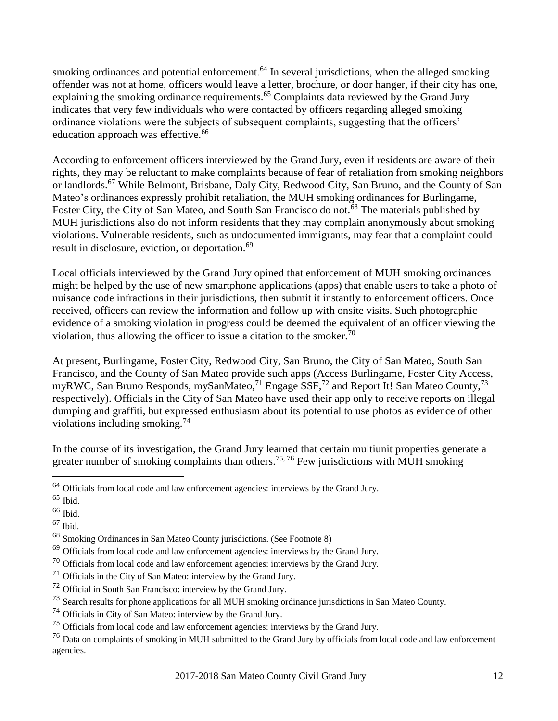smoking ordinances and potential enforcement.<sup>64</sup> In several jurisdictions, when the alleged smoking offender was not at home, officers would leave a letter, brochure, or door hanger, if their city has one, explaining the smoking ordinance requirements.<sup>65</sup> Complaints data reviewed by the Grand Jury indicates that very few individuals who were contacted by officers regarding alleged smoking ordinance violations were the subjects of subsequent complaints, suggesting that the officers' education approach was effective.<sup>66</sup>

According to enforcement officers interviewed by the Grand Jury, even if residents are aware of their rights, they may be reluctant to make complaints because of fear of retaliation from smoking neighbors or landlords.<sup>67</sup> While Belmont, Brisbane, Daly City, Redwood City, San Bruno, and the County of San Mateo's ordinances expressly prohibit retaliation, the MUH smoking ordinances for Burlingame, Foster City, the City of San Mateo, and South San Francisco do not.<sup>68</sup> The materials published by MUH jurisdictions also do not inform residents that they may complain anonymously about smoking violations. Vulnerable residents, such as undocumented immigrants, may fear that a complaint could result in disclosure, eviction, or deportation. 69

Local officials interviewed by the Grand Jury opined that enforcement of MUH smoking ordinances might be helped by the use of new smartphone applications (apps) that enable users to take a photo of nuisance code infractions in their jurisdictions, then submit it instantly to enforcement officers. Once received, officers can review the information and follow up with onsite visits. Such photographic evidence of a smoking violation in progress could be deemed the equivalent of an officer viewing the violation, thus allowing the officer to issue a citation to the smoker.<sup>70</sup>

At present, Burlingame, Foster City, Redwood City, San Bruno, the City of San Mateo, South San Francisco, and the County of San Mateo provide such apps (Access Burlingame, Foster City Access, myRWC, San Bruno Responds, mySanMateo,<sup>71</sup> Engage SSF,<sup>72</sup> and Report It! San Mateo County,<sup>73</sup> respectively). Officials in the City of San Mateo have used their app only to receive reports on illegal dumping and graffiti, but expressed enthusiasm about its potential to use photos as evidence of other violations including smoking.<sup>74</sup>

In the course of its investigation, the Grand Jury learned that certain multiunit properties generate a greater number of smoking complaints than others.<sup>75, 76</sup> Few jurisdictions with MUH smoking

 $\overline{a}$ 

<sup>&</sup>lt;sup>64</sup> Officials from local code and law enforcement agencies: interviews by the Grand Jury.

 $65$  Ibid.

<sup>66</sup> Ibid.

 $67$  Ibid.

<sup>68</sup> Smoking Ordinances in San Mateo County jurisdictions. (See Footnote 8)

 $69$  Officials from local code and law enforcement agencies: interviews by the Grand Jury.

<sup>70</sup> Officials from local code and law enforcement agencies: interviews by the Grand Jury.

 $71$  Officials in the City of San Mateo: interview by the Grand Jury.

<sup>72</sup> Official in South San Francisco: interview by the Grand Jury.

<sup>&</sup>lt;sup>73</sup> Search results for phone applications for all MUH smoking ordinance jurisdictions in San Mateo County.

<sup>74</sup> Officials in City of San Mateo: interview by the Grand Jury.

<sup>&</sup>lt;sup>75</sup> Officials from local code and law enforcement agencies: interviews by the Grand Jury.

<sup>&</sup>lt;sup>76</sup> Data on complaints of smoking in MUH submitted to the Grand Jury by officials from local code and law enforcement agencies.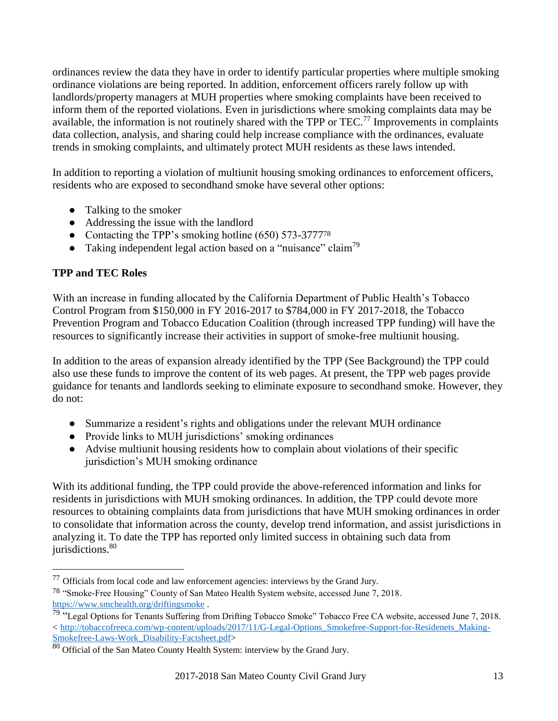ordinances review the data they have in order to identify particular properties where multiple smoking ordinance violations are being reported. In addition, enforcement officers rarely follow up with landlords/property managers at MUH properties where smoking complaints have been received to inform them of the reported violations. Even in jurisdictions where smoking complaints data may be available, the information is not routinely shared with the TPP or TEC.<sup>77</sup> Improvements in complaints data collection, analysis, and sharing could help increase compliance with the ordinances, evaluate trends in smoking complaints, and ultimately protect MUH residents as these laws intended.

In addition to reporting a violation of multiunit housing smoking ordinances to enforcement officers, residents who are exposed to secondhand smoke have several other options:

- Talking to the smoker
- Addressing the issue with the landlord
- Contacting the TPP's smoking hotline (650) 573-3777<sup>78</sup>
- Taking independent legal action based on a "nuisance" claim<sup>79</sup>

# **TPP and TEC Roles**

 $\overline{a}$ 

With an increase in funding allocated by the California Department of Public Health's Tobacco Control Program from \$150,000 in FY 2016-2017 to \$784,000 in FY 2017-2018, the Tobacco Prevention Program and Tobacco Education Coalition (through increased TPP funding) will have the resources to significantly increase their activities in support of smoke-free multiunit housing.

In addition to the areas of expansion already identified by the TPP (See Background) the TPP could also use these funds to improve the content of its web pages. At present, the TPP web pages provide guidance for tenants and landlords seeking to eliminate exposure to secondhand smoke. However, they do not:

- Summarize a resident's rights and obligations under the relevant MUH ordinance
- Provide links to MUH jurisdictions' smoking ordinances
- Advise multiunit housing residents how to complain about violations of their specific jurisdiction's MUH smoking ordinance

With its additional funding, the TPP could provide the above-referenced information and links for residents in jurisdictions with MUH smoking ordinances. In addition, the TPP could devote more resources to obtaining complaints data from jurisdictions that have MUH smoking ordinances in order to consolidate that information across the county, develop trend information, and assist jurisdictions in analyzing it. To date the TPP has reported only limited success in obtaining such data from jurisdictions.<sup>80</sup>

 $77$  Officials from local code and law enforcement agencies: interviews by the Grand Jury.

<sup>78</sup> "Smoke-Free Housing" County of San Mateo Health System website, accessed June 7, 2018. <https://www.smchealth.org/driftingsmoke> .

<sup>&</sup>lt;sup>79 "</sup>Legal Options for Tenants Suffering from Drifting Tobacco Smoke" Tobacco Free CA website, accessed June 7, 2018. < [http://tobaccofreeca.com/wp-content/uploads/2017/11/G-Legal-Options\\_Smokefree-Support-for-Residenets\\_Making-](http://tobaccofreeca.com/wp-content/uploads/2017/11/G-Legal-Options_Smokefree-Support-for-Residenets_Making-Smokefree-Laws-Work_Disability-Factsheet.pdf)[Smokefree-Laws-Work\\_Disability-Factsheet.pdf>](http://tobaccofreeca.com/wp-content/uploads/2017/11/G-Legal-Options_Smokefree-Support-for-Residenets_Making-Smokefree-Laws-Work_Disability-Factsheet.pdf)

 $80$  Official of the San Mateo County Health System: interview by the Grand Jury.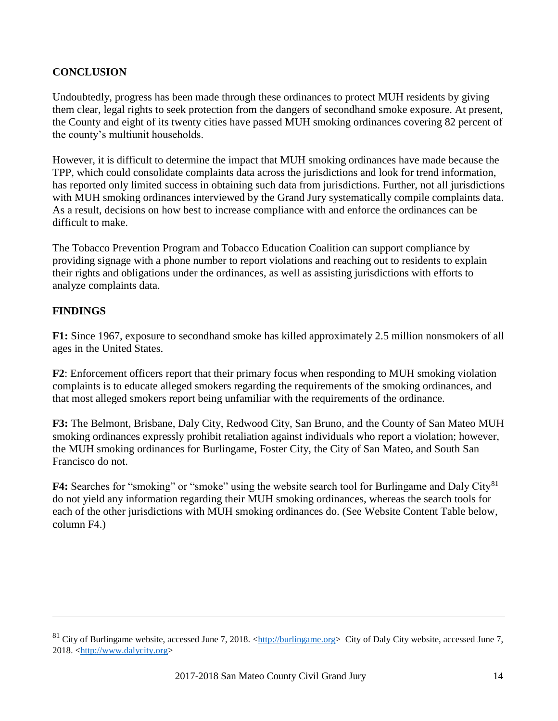## <span id="page-16-0"></span>**[CONCLUSION](#page-3-0)**

Undoubtedly, progress has been made through these ordinances to protect MUH residents by giving them clear, legal rights to seek protection from the dangers of secondhand smoke exposure. At present, the County and eight of its twenty cities have passed MUH smoking ordinances covering 82 percent of the county's multiunit households.

However, it is difficult to determine the impact that MUH smoking ordinances have made because the TPP, which could consolidate complaints data across the jurisdictions and look for trend information, has reported only limited success in obtaining such data from jurisdictions. Further, not all jurisdictions with MUH smoking ordinances interviewed by the Grand Jury systematically compile complaints data. As a result, decisions on how best to increase compliance with and enforce the ordinances can be difficult to make.

The Tobacco Prevention Program and Tobacco Education Coalition can support compliance by providing signage with a phone number to report violations and reaching out to residents to explain their rights and obligations under the ordinances, as well as assisting jurisdictions with efforts to analyze complaints data.

#### **[FINDINGS](#page-3-0)**

 $\overline{a}$ 

**F1:** Since 1967, exposure to secondhand smoke has killed approximately 2.5 million nonsmokers of all ages in the United States.

**F2**: Enforcement officers report that their primary focus when responding to MUH smoking violation complaints is to educate alleged smokers regarding the requirements of the smoking ordinances, and that most alleged smokers report being unfamiliar with the requirements of the ordinance.

**F3:** The Belmont, Brisbane, Daly City, Redwood City, San Bruno, and the County of San Mateo MUH smoking ordinances expressly prohibit retaliation against individuals who report a violation; however, the MUH smoking ordinances for Burlingame, Foster City, the City of San Mateo, and South San Francisco do not.

**F4:** Searches for "smoking" or "smoke" using the website search tool for Burlingame and Daly City<sup>81</sup> do not yield any information regarding their MUH smoking ordinances, whereas the search tools for each of the other jurisdictions with MUH smoking ordinances do. (See Website Content Table below, column F4.)

<sup>&</sup>lt;sup>81</sup> City of Burlingame website, accessed June 7, 2018. < $\frac{http://burlingame.org>}{http://burlingame.org>}$  City of Daly City website, accessed June 7, 2018. [<http://www.dalycity.org>](http://www.dalycity.org/)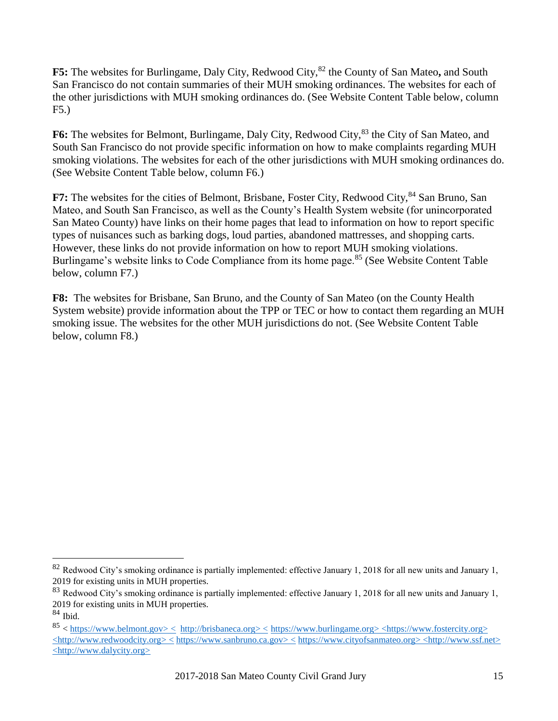F5: The websites for Burlingame, Daly City, Redwood City,<sup>82</sup> the County of San Mateo, and South San Francisco do not contain summaries of their MUH smoking ordinances. The websites for each of the other jurisdictions with MUH smoking ordinances do. (See Website Content Table below, column F5.)

F6: The websites for Belmont, Burlingame, Daly City, Redwood City,<sup>83</sup> the City of San Mateo, and South San Francisco do not provide specific information on how to make complaints regarding MUH smoking violations. The websites for each of the other jurisdictions with MUH smoking ordinances do. (See Website Content Table below, column F6.)

**F7:** The websites for the cities of Belmont, Brisbane, Foster City, Redwood City, <sup>84</sup> San Bruno, San Mateo, and South San Francisco, as well as the County's Health System website (for unincorporated San Mateo County) have links on their home pages that lead to information on how to report specific types of nuisances such as barking dogs, loud parties, abandoned mattresses, and shopping carts. However, these links do not provide information on how to report MUH smoking violations. Burlingame's website links to Code Compliance from its home page.<sup>85</sup> (See Website Content Table below, column F7.)

**F8:** The websites for Brisbane, San Bruno, and the County of San Mateo (on the County Health System website) provide information about the TPP or TEC or how to contact them regarding an MUH smoking issue. The websites for the other MUH jurisdictions do not. (See Website Content Table below, column F8.)

 $\overline{a}$ 

 $82$  Redwood City's smoking ordinance is partially implemented: effective January 1, 2018 for all new units and January 1, 2019 for existing units in MUH properties.

<sup>83</sup> Redwood City's smoking ordinance is partially implemented: effective January 1, 2018 for all new units and January 1, 2019 for existing units in MUH properties.

<sup>84</sup> Ibid.

 $85 <$  https://www.belmont.gov>  $\leq$  [http://brisbaneca.org>](http://brisbaneca.org/)  $\leq$  [https://www.burlingame.org>](https://www.burlingame.org/)  $\leq$ https://www.fostercity.org>  $\leq$ http://www.redwoodcity.org>  $\leq$  [https://www.sanbruno.ca.gov>](https://www.sanbruno.ca.gov/)  $\leq$  [https://www.cityofsanmateo.org>](https://www.cityofsanmateo.org/)  $\leq$ http://www.ssf.net> [<http://www.dalycity.org>](http://www.dalycity.org/)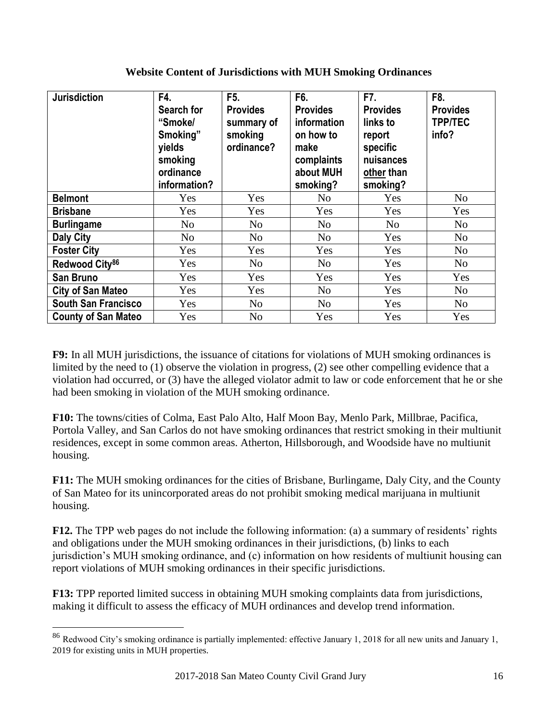| <b>Jurisdiction</b>        | F4.<br>Search for<br>"Smoke/<br>Smoking"<br>yields<br>smoking<br>ordinance<br>information? | F <sub>5</sub> .<br><b>Provides</b><br>summary of<br>smoking<br>ordinance? | F6.<br><b>Provides</b><br>information<br>on how to<br>make<br>complaints<br>about MUH<br>smoking? | F7.<br><b>Provides</b><br>links to<br>report<br>specific<br>nuisances<br>other than<br>smoking? | F8.<br><b>Provides</b><br><b>TPP/TEC</b><br>info? |
|----------------------------|--------------------------------------------------------------------------------------------|----------------------------------------------------------------------------|---------------------------------------------------------------------------------------------------|-------------------------------------------------------------------------------------------------|---------------------------------------------------|
| <b>Belmont</b>             | <b>Yes</b>                                                                                 | Yes                                                                        | No                                                                                                | Yes                                                                                             | No                                                |
| <b>Brisbane</b>            | Yes                                                                                        | Yes                                                                        | Yes                                                                                               | Yes                                                                                             | Yes                                               |
| <b>Burlingame</b>          | No                                                                                         | N <sub>o</sub>                                                             | No                                                                                                | N <sub>o</sub>                                                                                  | No                                                |
| <b>Daly City</b>           | N <sub>o</sub>                                                                             | N <sub>o</sub>                                                             | N <sub>o</sub>                                                                                    | Yes                                                                                             | No                                                |
| <b>Foster City</b>         | Yes                                                                                        | Yes                                                                        | Yes                                                                                               | Yes                                                                                             | N <sub>o</sub>                                    |
| Redwood City <sup>86</sup> | Yes                                                                                        | N <sub>o</sub>                                                             | No                                                                                                | Yes                                                                                             | No                                                |
| <b>San Bruno</b>           | Yes                                                                                        | Yes                                                                        | Yes                                                                                               | Yes                                                                                             | Yes                                               |
| <b>City of San Mateo</b>   | Yes                                                                                        | Yes                                                                        | N <sub>o</sub>                                                                                    | Yes                                                                                             | N <sub>o</sub>                                    |
| <b>South San Francisco</b> | Yes                                                                                        | N <sub>o</sub>                                                             | N <sub>o</sub>                                                                                    | Yes                                                                                             | No                                                |
| <b>County of San Mateo</b> | Yes                                                                                        | N <sub>o</sub>                                                             | Yes                                                                                               | Yes                                                                                             | Yes                                               |

#### **Website Content of Jurisdictions with MUH Smoking Ordinances**

**F9:** In all MUH jurisdictions, the issuance of citations for violations of MUH smoking ordinances is limited by the need to (1) observe the violation in progress, (2) see other compelling evidence that a violation had occurred, or (3) have the alleged violator admit to law or code enforcement that he or she had been smoking in violation of the MUH smoking ordinance.

**F10:** The towns/cities of Colma, East Palo Alto, Half Moon Bay, Menlo Park, Millbrae, Pacifica, Portola Valley, and San Carlos do not have smoking ordinances that restrict smoking in their multiunit residences, except in some common areas. Atherton, Hillsborough, and Woodside have no multiunit housing.

**F11:** The MUH smoking ordinances for the cities of Brisbane, Burlingame, Daly City, and the County of San Mateo for its unincorporated areas do not prohibit smoking medical marijuana in multiunit housing.

**F12.** The TPP web pages do not include the following information: (a) a summary of residents' rights and obligations under the MUH smoking ordinances in their jurisdictions, (b) links to each jurisdiction's MUH smoking ordinance, and (c) information on how residents of multiunit housing can report violations of MUH smoking ordinances in their specific jurisdictions.

**F13:** TPP reported limited success in obtaining MUH smoking complaints data from jurisdictions, making it difficult to assess the efficacy of MUH ordinances and develop trend information.

 $\overline{a}$ 

<sup>86</sup> Redwood City's smoking ordinance is partially implemented: effective January 1, 2018 for all new units and January 1, 2019 for existing units in MUH properties.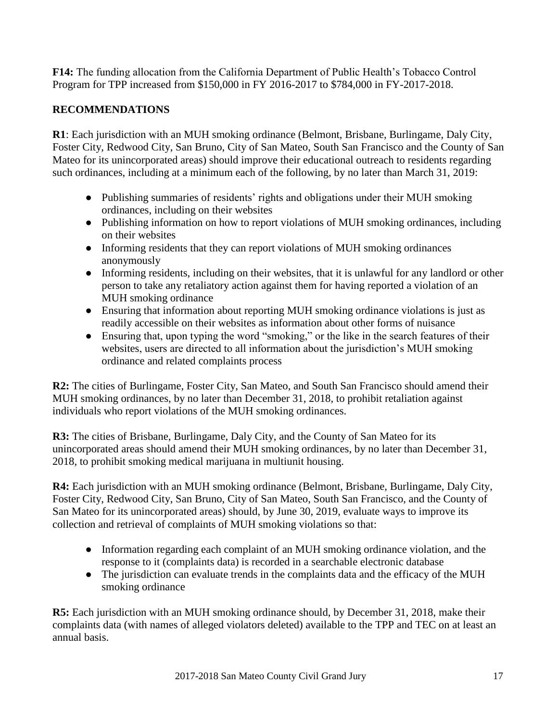<span id="page-19-0"></span>**F14:** The funding allocation from the California Department of Public Health's Tobacco Control Program for TPP increased from \$150,000 in FY 2016-2017 to \$784,000 in FY-2017-2018.

# **[RECOMMENDATIONS](#page-3-0)**

**R1**: Each jurisdiction with an MUH smoking ordinance (Belmont, Brisbane, Burlingame, Daly City, Foster City, Redwood City, San Bruno, City of San Mateo, South San Francisco and the County of San Mateo for its unincorporated areas) should improve their educational outreach to residents regarding such ordinances, including at a minimum each of the following, by no later than March 31, 2019:

- Publishing summaries of residents' rights and obligations under their MUH smoking ordinances, including on their websites
- Publishing information on how to report violations of MUH smoking ordinances, including on their websites
- Informing residents that they can report violations of MUH smoking ordinances anonymously
- Informing residents, including on their websites, that it is unlawful for any landlord or other person to take any retaliatory action against them for having reported a violation of an MUH smoking ordinance
- Ensuring that information about reporting MUH smoking ordinance violations is just as readily accessible on their websites as information about other forms of nuisance
- Ensuring that, upon typing the word "smoking," or the like in the search features of their websites, users are directed to all information about the jurisdiction's MUH smoking ordinance and related complaints process

**R2:** The cities of Burlingame, Foster City, San Mateo, and South San Francisco should amend their MUH smoking ordinances, by no later than December 31, 2018, to prohibit retaliation against individuals who report violations of the MUH smoking ordinances.

**R3:** The cities of Brisbane, Burlingame, Daly City, and the County of San Mateo for its unincorporated areas should amend their MUH smoking ordinances, by no later than December 31, 2018, to prohibit smoking medical marijuana in multiunit housing.

**R4:** Each jurisdiction with an MUH smoking ordinance (Belmont, Brisbane, Burlingame, Daly City, Foster City, Redwood City, San Bruno, City of San Mateo, South San Francisco, and the County of San Mateo for its unincorporated areas) should, by June 30, 2019, evaluate ways to improve its collection and retrieval of complaints of MUH smoking violations so that:

- Information regarding each complaint of an MUH smoking ordinance violation, and the response to it (complaints data) is recorded in a searchable electronic database
- The jurisdiction can evaluate trends in the complaints data and the efficacy of the MUH smoking ordinance

**R5:** Each jurisdiction with an MUH smoking ordinance should, by December 31, 2018, make their complaints data (with names of alleged violators deleted) available to the TPP and TEC on at least an annual basis.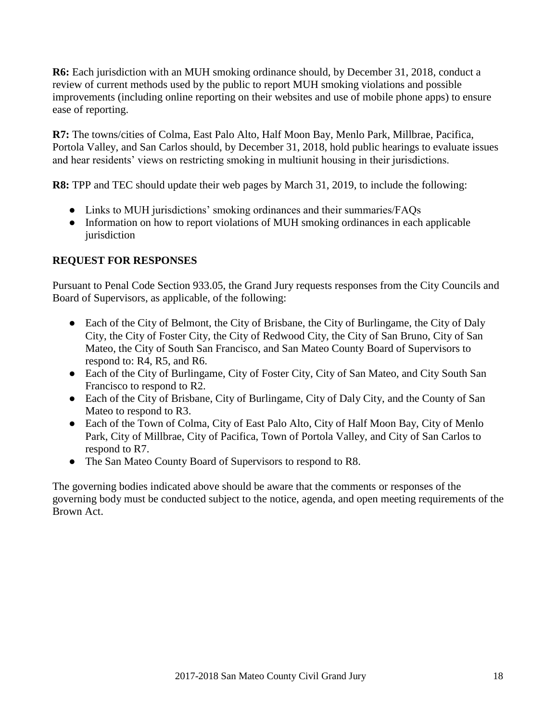<span id="page-20-0"></span>**R6:** Each jurisdiction with an MUH smoking ordinance should, by December 31, 2018, conduct a review of current methods used by the public to report MUH smoking violations and possible improvements (including online reporting on their websites and use of mobile phone apps) to ensure ease of reporting.

**R7:** The towns/cities of Colma, East Palo Alto, Half Moon Bay, Menlo Park, Millbrae, Pacifica, Portola Valley, and San Carlos should, by December 31, 2018, hold public hearings to evaluate issues and hear residents' views on restricting smoking in multiunit housing in their jurisdictions.

**R8:** TPP and TEC should update their web pages by March 31, 2019, to include the following:

- Links to MUH jurisdictions' smoking ordinances and their summaries/FAQs
- Information on how to report violations of MUH smoking ordinances in each applicable jurisdiction

# **[REQUEST FOR RESPONSES](#page-3-0)**

Pursuant to Penal Code Section 933.05, the Grand Jury requests responses from the City Councils and Board of Supervisors, as applicable, of the following:

- Each of the City of Belmont, the City of Brisbane, the City of Burlingame, the City of Daly City, the City of Foster City, the City of Redwood City, the City of San Bruno, City of San Mateo, the City of South San Francisco, and San Mateo County Board of Supervisors to respond to: R4, R5, and R6.
- Each of the City of Burlingame, City of Foster City, City of San Mateo, and City South San Francisco to respond to R2.
- Each of the City of Brisbane, City of Burlingame, City of Daly City, and the County of San Mateo to respond to R3.
- Each of the Town of Colma, City of East Palo Alto, City of Half Moon Bay, City of Menlo Park, City of Millbrae, City of Pacifica, Town of Portola Valley, and City of San Carlos to respond to R7.
- The San Mateo County Board of Supervisors to respond to R8.

The governing bodies indicated above should be aware that the comments or responses of the governing body must be conducted subject to the notice, agenda, and open meeting requirements of the Brown Act.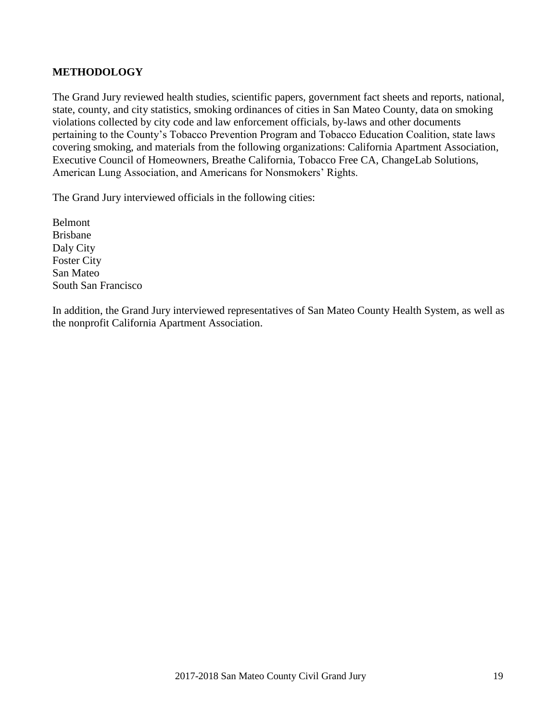### <span id="page-21-0"></span>**[METHODOLOGY](#page-3-0)**

The Grand Jury reviewed health studies, scientific papers, government fact sheets and reports, national, state, county, and city statistics, smoking ordinances of cities in San Mateo County, data on smoking violations collected by city code and law enforcement officials, by-laws and other documents pertaining to the County's Tobacco Prevention Program and Tobacco Education Coalition, state laws covering smoking, and materials from the following organizations: California Apartment Association, Executive Council of Homeowners, Breathe California, Tobacco Free CA, ChangeLab Solutions, American Lung Association, and Americans for Nonsmokers' Rights.

The Grand Jury interviewed officials in the following cities:

Belmont Brisbane Daly City Foster City San Mateo South San Francisco

In addition, the Grand Jury interviewed representatives of San Mateo County Health System, as well as the nonprofit California Apartment Association.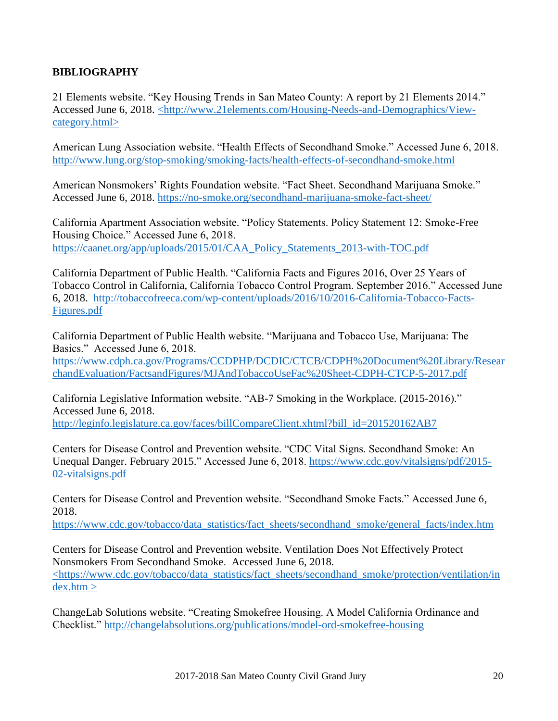## <span id="page-22-0"></span>**[BIBLIOGRAPHY](#page-3-0)**

21 Elements website. "Key Housing Trends in San Mateo County: A report by 21 Elements 2014." Accessed June 6, 2018. [<http://www.21elements.com/Housing-Needs-and-Demographics/View](http://www.21elements.com/Housing-Needs-and-Demographics/View-category.html)[category.html>](http://www.21elements.com/Housing-Needs-and-Demographics/View-category.html)

American Lung Association website. "Health Effects of Secondhand Smoke." Accessed June 6, 2018. <http://www.lung.org/stop-smoking/smoking-facts/health-effects-of-secondhand-smoke.html>

American Nonsmokers' Rights Foundation website. "Fact Sheet. Secondhand Marijuana Smoke." Accessed June 6, 2018.<https://no-smoke.org/secondhand-marijuana-smoke-fact-sheet/>

California Apartment Association website. "Policy Statements. Policy Statement 12: Smoke-Free Housing Choice." Accessed June 6, 2018. [https://caanet.org/app/uploads/2015/01/CAA\\_Policy\\_Statements\\_2013-with-TOC.pdf](https://caanet.org/app/uploads/2015/01/CAA_Policy_Statements_2013-with-TOC.pdf)

California Department of Public Health. "California Facts and Figures 2016, Over 25 Years of Tobacco Control in California, California Tobacco Control Program. September 2016." Accessed June 6, 2018. [http://tobaccofreeca.com/wp-content/uploads/2016/10/2016-California-Tobacco-Facts-](http://tobaccofreeca.com/wp-content/uploads/2016/10/2016-California-Tobacco-Facts-Figures.pdf)[Figures.pdf](http://tobaccofreeca.com/wp-content/uploads/2016/10/2016-California-Tobacco-Facts-Figures.pdf)

California Department of Public Health website. "Marijuana and Tobacco Use, Marijuana: The Basics." Accessed June 6, 2018. [https://www.cdph.ca.gov/Programs/CCDPHP/DCDIC/CTCB/CDPH%20Document%20Library/Resear](https://www.cdph.ca.gov/Programs/CCDPHP/DCDIC/CTCB/CDPH%20Document%20Library/ResearchandEvaluation/FactsandFigures/MJAndTobaccoUseFac%20Sheet-CDPH-CTCP-5-2017.pdf) [chandEvaluation/FactsandFigures/MJAndTobaccoUseFac%20Sheet-CDPH-CTCP-5-2017.pdf](https://www.cdph.ca.gov/Programs/CCDPHP/DCDIC/CTCB/CDPH%20Document%20Library/ResearchandEvaluation/FactsandFigures/MJAndTobaccoUseFac%20Sheet-CDPH-CTCP-5-2017.pdf)

California Legislative Information website. "AB-7 Smoking in the Workplace. (2015-2016)." Accessed June 6, 2018. [http://leginfo.legislature.ca.gov/faces/billCompareClient.xhtml?bill\\_id=201520162AB7](http://leginfo.legislature.ca.gov/faces/billCompareClient.xhtml?bill_id=201520162AB7)

Centers for Disease Control and Prevention website. "CDC Vital Signs. Secondhand Smoke: An Unequal Danger. February 2015." Accessed June 6, 2018. [https://www.cdc.gov/vitalsigns/pdf/2015-](https://www.cdc.gov/vitalsigns/pdf/2015-02-vitalsigns.pdf) [02-vitalsigns.pdf](https://www.cdc.gov/vitalsigns/pdf/2015-02-vitalsigns.pdf) 

Centers for Disease Control and Prevention website. "Secondhand Smoke Facts." Accessed June 6, 2018.

[https://www.cdc.gov/tobacco/data\\_statistics/fact\\_sheets/secondhand\\_smoke/general\\_facts/index.htm](https://www.cdc.gov/tobacco/data_statistics/fact_sheets/secondhand_smoke/general_facts/index.htm) 

Centers for Disease Control and Prevention website. Ventilation Does Not Effectively Protect Nonsmokers From Secondhand Smoke. Accessed June 6, 2018. <https://www.cdc.gov/tobacco/data\_statistics/fact\_sheets/secondhand\_smoke/protection/ventilation/in dex.htm >

ChangeLab Solutions website. "Creating Smokefree Housing. A Model California Ordinance and Checklist."<http://changelabsolutions.org/publications/model-ord-smokefree-housing>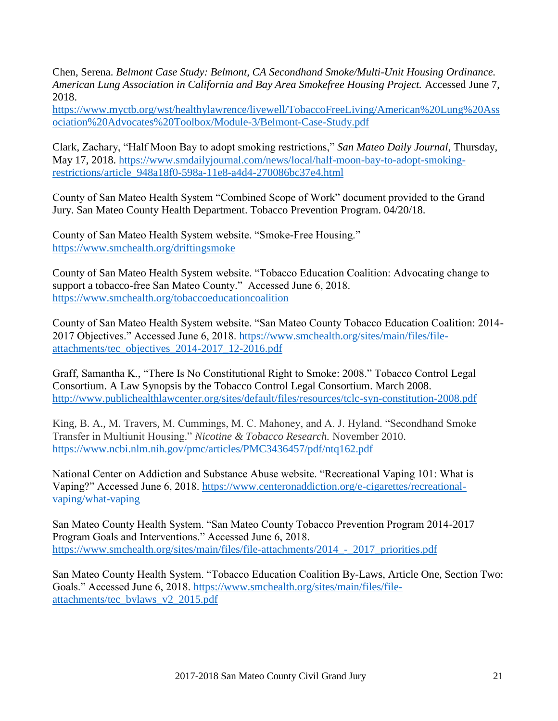Chen, Serena. *Belmont Case Study: Belmont, CA Secondhand Smoke/Multi-Unit Housing Ordinance. American Lung Association in California and Bay Area Smokefree Housing Project.* Accessed June 7, 2018.

[https://www.myctb.org/wst/healthylawrence/livewell/TobaccoFreeLiving/American%20Lung%20Ass](https://www.myctb.org/wst/healthylawrence/livewell/TobaccoFreeLiving/American%20Lung%20Association%20Advocates%20Toolbox/Module-3/Belmont-Case-Study.pdf) [ociation%20Advocates%20Toolbox/Module-3/Belmont-Case-Study.pdf](https://www.myctb.org/wst/healthylawrence/livewell/TobaccoFreeLiving/American%20Lung%20Association%20Advocates%20Toolbox/Module-3/Belmont-Case-Study.pdf)

Clark, Zachary, "Half Moon Bay to adopt smoking restrictions," *San Mateo Daily Journal*, Thursday, May 17, 2018. [https://www.smdailyjournal.com/news/local/half-moon-bay-to-adopt-smoking](https://www.smdailyjournal.com/news/local/half-moon-bay-to-adopt-smoking-restrictions/article_948a18f0-598a-11e8-a4d4-270086bc37e4.html)[restrictions/article\\_948a18f0-598a-11e8-a4d4-270086bc37e4.html](https://www.smdailyjournal.com/news/local/half-moon-bay-to-adopt-smoking-restrictions/article_948a18f0-598a-11e8-a4d4-270086bc37e4.html)

County of San Mateo Health System "Combined Scope of Work" document provided to the Grand Jury. San Mateo County Health Department. Tobacco Prevention Program. 04/20/18.

County of San Mateo Health System website. "Smoke-Free Housing." <https://www.smchealth.org/driftingsmoke>

County of San Mateo Health System website. "Tobacco Education Coalition: Advocating change to support a tobacco-free San Mateo County." Accessed June 6, 2018. <https://www.smchealth.org/tobaccoeducationcoalition>

County of San Mateo Health System website. "San Mateo County Tobacco Education Coalition: 2014- 2017 Objectives." Accessed June 6, 2018. [https://www.smchealth.org/sites/main/files/file](https://www.smchealth.org/sites/main/files/file-attachments/tec_objectives_2014-2017_12-2016.pdf)[attachments/tec\\_objectives\\_2014-2017\\_12-2016.pdf](https://www.smchealth.org/sites/main/files/file-attachments/tec_objectives_2014-2017_12-2016.pdf)

Graff, Samantha K., "There Is No Constitutional Right to Smoke: 2008." Tobacco Control Legal Consortium. A Law Synopsis by the Tobacco Control Legal Consortium. March 2008. <http://www.publichealthlawcenter.org/sites/default/files/resources/tclc-syn-constitution-2008.pdf>

King, B. A., M. Travers, M. Cummings, M. C. Mahoney, and A. J. Hyland. "Secondhand Smoke Transfer in Multiunit Housing." *Nicotine & Tobacco Research.* November 2010. <https://www.ncbi.nlm.nih.gov/pmc/articles/PMC3436457/pdf/ntq162.pdf>

National Center on Addiction and Substance Abuse website. "Recreational Vaping 101: What is Vaping?" Accessed June 6, 2018. [https://www.centeronaddiction.org/e-cigarettes/recreational](https://www.centeronaddiction.org/e-cigarettes/recreational-vaping/what-vaping)[vaping/what-vaping](https://www.centeronaddiction.org/e-cigarettes/recreational-vaping/what-vaping) 

San Mateo County Health System. "San Mateo County Tobacco Prevention Program 2014-2017 Program Goals and Interventions." Accessed June 6, 2018. https://www.smchealth.org/sites/main/files/file-attachments/2014 - 2017 priorities.pdf

San Mateo County Health System. "Tobacco Education Coalition By-Laws, Article One, Section Two: Goals." Accessed June 6, 2018. [https://www.smchealth.org/sites/main/files/file](https://www.smchealth.org/sites/main/files/file-attachments/tec_bylaws_v2_2015.pdf)[attachments/tec\\_bylaws\\_v2\\_2015.pdf](https://www.smchealth.org/sites/main/files/file-attachments/tec_bylaws_v2_2015.pdf)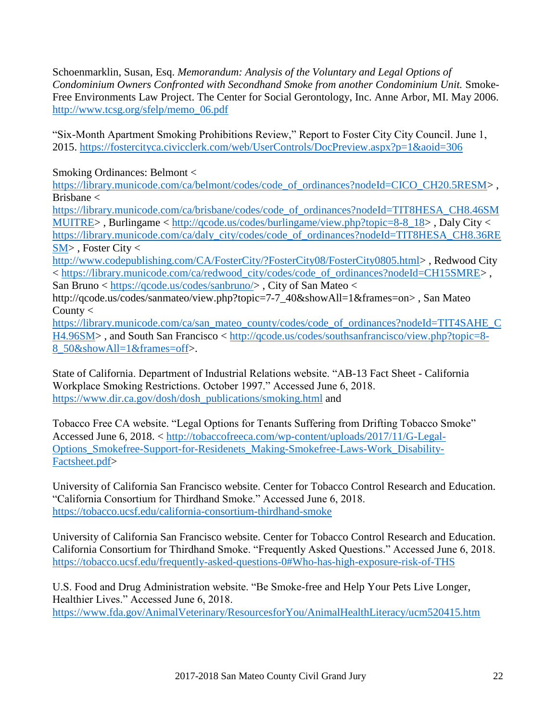Schoenmarklin, Susan, Esq. *Memorandum: Analysis of the Voluntary and Legal Options of Condominium Owners Confronted with Secondhand Smoke from another Condominium Unit.* Smoke-Free Environments Law Project. The Center for Social Gerontology, Inc. Anne Arbor, MI. May 2006. [http://www.tcsg.org/sfelp/memo\\_06.pdf](http://www.tcsg.org/sfelp/memo_06.pdf)

"Six-Month Apartment Smoking Prohibitions Review," Report to Foster City City Council. June 1, 2015.<https://fostercityca.civicclerk.com/web/UserControls/DocPreview.aspx?p=1&aoid=306>

Smoking Ordinances: Belmont <

[https://library.municode.com/ca/belmont/codes/code\\_of\\_ordinances?nodeId=CICO\\_CH20.5RESM>](https://library.municode.com/ca/belmont/codes/code_of_ordinances?nodeId=CICO_CH20.5RESM) , Brisbane <

[https://library.municode.com/ca/brisbane/codes/code\\_of\\_ordinances?nodeId=TIT8HESA\\_CH8.46SM](https://library.municode.com/ca/brisbane/codes/code_of_ordinances?nodeId=TIT8HESA_CH8.46SMMUITRE) [MUITRE>](https://library.municode.com/ca/brisbane/codes/code_of_ordinances?nodeId=TIT8HESA_CH8.46SMMUITRE) , Burlingame < [http://qcode.us/codes/burlingame/view.php?topic=8-8\\_18>](http://qcode.us/codes/burlingame/view.php?topic=8-8_18) , Daly City < [https://library.municode.com/ca/daly\\_city/codes/code\\_of\\_ordinances?nodeId=TIT8HESA\\_CH8.36RE](https://library.municode.com/ca/daly_city/codes/code_of_ordinances?nodeId=TIT8HESA_CH8.36RESM)  $SM$ . Foster City  $\lt$ 

[http://www.codepublishing.com/CA/FosterCity/?FosterCity08/FosterCity0805.html>](http://www.codepublishing.com/CA/FosterCity/?FosterCity08/FosterCity0805.html) , Redwood City < [https://library.municode.com/ca/redwood\\_city/codes/code\\_of\\_ordinances?nodeId=CH15SMRE>](https://library.municode.com/ca/redwood_city/codes/code_of_ordinances?nodeId=CH15SMRE) , San Bruno < [https://qcode.us/codes/sanbruno/>](https://qcode.us/codes/sanbruno/), City of San Mateo <

http://qcode.us/codes/sanmateo/view.php?topic=7-7\_40&showAll=1&frames=on>, San Mateo County  $<$ 

[https://library.municode.com/ca/san\\_mateo\\_county/codes/code\\_of\\_ordinances?nodeId=TIT4SAHE\\_C](https://library.municode.com/ca/san_mateo_county/codes/code_of_ordinances?nodeId=TIT4SAHE_CH4.96SM) [H4.96SM>](https://library.municode.com/ca/san_mateo_county/codes/code_of_ordinances?nodeId=TIT4SAHE_CH4.96SM) , and South San Francisco < [http://qcode.us/codes/southsanfrancisco/view.php?topic=8-](http://qcode.us/codes/southsanfrancisco/view.php?topic=8-8_50&showAll=1&frames=off) [8\\_50&showAll=1&frames=off>](http://qcode.us/codes/southsanfrancisco/view.php?topic=8-8_50&showAll=1&frames=off).

State of California. Department of Industrial Relations website. "AB-13 Fact Sheet - California Workplace Smoking Restrictions. October 1997." Accessed June 6, 2018. [https://www.dir.ca.gov/dosh/dosh\\_publications/smoking.html](https://www.dir.ca.gov/dosh/dosh_publications/smoking.html) and

Tobacco Free CA website. "Legal Options for Tenants Suffering from Drifting Tobacco Smoke" Accessed June 6, 2018. < [http://tobaccofreeca.com/wp-content/uploads/2017/11/G-Legal-](http://tobaccofreeca.com/wp-content/uploads/2017/11/G-Legal-Options_Smokefree-Support-for-Residenets_Making-Smokefree-Laws-Work_Disability-Factsheet.pdf)[Options\\_Smokefree-Support-for-Residenets\\_Making-Smokefree-Laws-Work\\_Disability-](http://tobaccofreeca.com/wp-content/uploads/2017/11/G-Legal-Options_Smokefree-Support-for-Residenets_Making-Smokefree-Laws-Work_Disability-Factsheet.pdf)[Factsheet.pdf>](http://tobaccofreeca.com/wp-content/uploads/2017/11/G-Legal-Options_Smokefree-Support-for-Residenets_Making-Smokefree-Laws-Work_Disability-Factsheet.pdf)

University of California San Francisco website. Center for Tobacco Control Research and Education. "California Consortium for Thirdhand Smoke." Accessed June 6, 2018. <https://tobacco.ucsf.edu/california-consortium-thirdhand-smoke>

University of California San Francisco website. Center for Tobacco Control Research and Education. California Consortium for Thirdhand Smoke. "Frequently Asked Questions." Accessed June 6, 2018. <https://tobacco.ucsf.edu/frequently-asked-questions-0#Who-has-high-exposure-risk-of-THS>

U.S. Food and Drug Administration website. "Be Smoke-free and Help Your Pets Live Longer, Healthier Lives." Accessed June 6, 2018. <https://www.fda.gov/AnimalVeterinary/ResourcesforYou/AnimalHealthLiteracy/ucm520415.htm>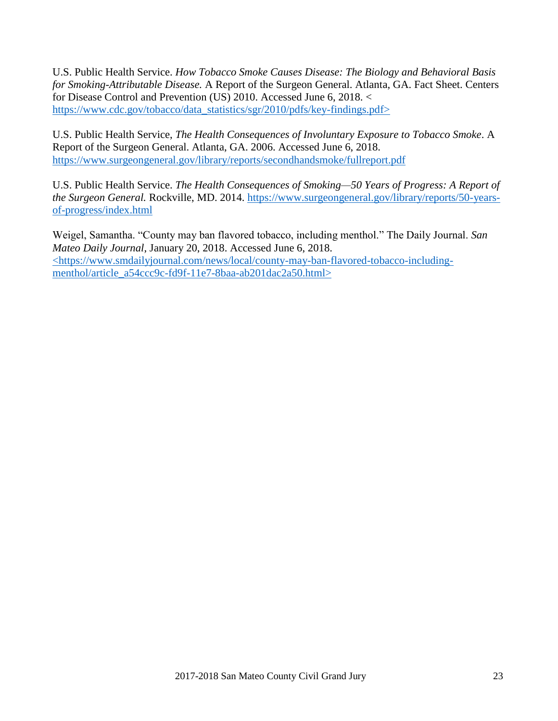U.S. Public Health Service. *How Tobacco Smoke Causes Disease: The Biology and Behavioral Basis for Smoking-Attributable Disease.* A Report of the Surgeon General. Atlanta, GA. Fact Sheet. Centers for Disease Control and Prevention (US) 2010. Accessed June 6, 2018. < [https://www.cdc.gov/tobacco/data\\_statistics/sgr/2010/pdfs/key-findings.pdf>](https://www.cdc.gov/tobacco/data_statistics/sgr/2010/pdfs/key-findings.pdf)

U.S. Public Health Service, *The Health Consequences of Involuntary Exposure to Tobacco Smoke*. A Report of the Surgeon General. Atlanta, GA. 2006. Accessed June 6, 2018. <https://www.surgeongeneral.gov/library/reports/secondhandsmoke/fullreport.pdf>

U.S. Public Health Service. *The Health Consequences of Smoking—50 Years of Progress: A Report of the Surgeon General.* Rockville, MD. 2014. [https://www.surgeongeneral.gov/library/reports/50-years](https://www.surgeongeneral.gov/library/reports/50-years-of-progress/index.html)[of-progress/index.html](https://www.surgeongeneral.gov/library/reports/50-years-of-progress/index.html)

Weigel, Samantha. "County may ban flavored tobacco, including menthol." The Daily Journal. *San Mateo Daily Journal*, January 20, 2018. Accessed June 6, 2018. [<https://www.smdailyjournal.com/news/local/county-may-ban-flavored-tobacco-including](https://www.smdailyjournal.com/news/local/county-may-ban-flavored-tobacco-including-menthol/article_a54ccc9c-fd9f-11e7-8baa-ab201dac2a50.html)[menthol/article\\_a54ccc9c-fd9f-11e7-8baa-ab201dac2a50.html>](https://www.smdailyjournal.com/news/local/county-may-ban-flavored-tobacco-including-menthol/article_a54ccc9c-fd9f-11e7-8baa-ab201dac2a50.html)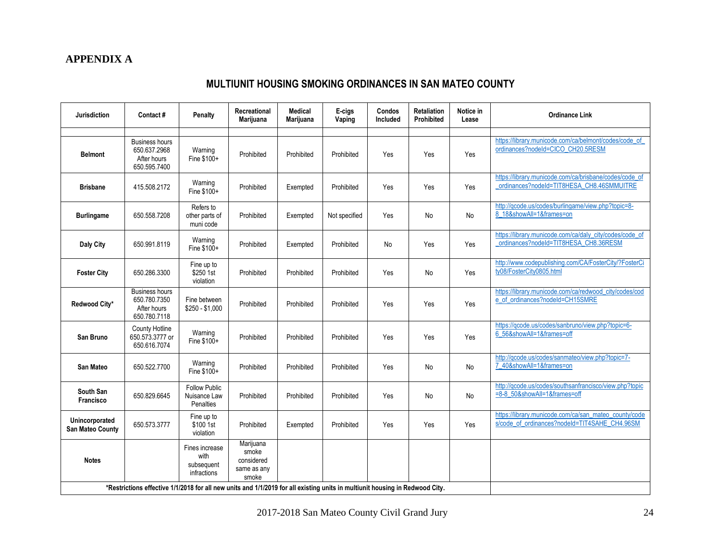# <span id="page-26-0"></span>**[APPENDIX A](#page-3-0)**

# **MULTIUNIT HOUSING SMOKING ORDINANCES IN SAN MATEO COUNTY**

| <b>Jurisdiction</b>                                                                                                          | Contact#                                                             | <b>Penalty</b>                                           | Recreational<br><b>Marijuana</b>                         | <b>Medical</b><br>Marijuana | E-cigs<br>Vaping | Condos<br>Included | <b>Retaliation</b><br>Prohibited | Notice in<br>Lease | <b>Ordinance Link</b>                                                                                  |
|------------------------------------------------------------------------------------------------------------------------------|----------------------------------------------------------------------|----------------------------------------------------------|----------------------------------------------------------|-----------------------------|------------------|--------------------|----------------------------------|--------------------|--------------------------------------------------------------------------------------------------------|
|                                                                                                                              |                                                                      |                                                          |                                                          |                             |                  |                    |                                  |                    |                                                                                                        |
| <b>Belmont</b>                                                                                                               | <b>Business hours</b><br>650.637.2968<br>After hours<br>650.595.7400 | Warning<br>Fine \$100+                                   | Prohibited                                               | Prohibited                  | Prohibited       | Yes                | Yes                              | Yes                | https://library.municode.com/ca/belmont/codes/code_of<br>ordinances?nodeId=CICO CH20.5RESM             |
| <b>Brisbane</b>                                                                                                              | 415.508.2172                                                         | Warning<br>Fine \$100+                                   | Prohibited                                               | Exempted                    | Prohibited       | Yes                | Yes                              | Yes                | https://library.municode.com/ca/brisbane/codes/code_of<br>ordinances?nodeId=TIT8HESA_CH8.46SMMUITRE    |
| <b>Burlingame</b>                                                                                                            | 650.558.7208                                                         | Refers to<br>other parts of<br>muni code                 | Prohibited                                               | Exempted                    | Not specified    | Yes                | No                               | <b>No</b>          | http://qcode.us/codes/burlingame/view.php?topic=8-<br>8_18&showAll=1&frames=on                         |
| Daly City                                                                                                                    | 650.991.8119                                                         | Warning<br>Fine \$100+                                   | Prohibited                                               | Exempted                    | Prohibited       | No                 | Yes                              | Yes                | https://library.municode.com/ca/daly_city/codes/code_of<br>ordinances?nodeld=TIT8HESA_CH8.36RESM       |
| <b>Foster City</b>                                                                                                           | 650.286.3300                                                         | Fine up to<br>\$250 1st<br>violation                     | Prohibited                                               | Prohibited                  | Prohibited       | Yes                | No                               | Yes                | http://www.codepublishing.com/CA/FosterCity/?FosterCi<br>tv08/FosterCitv0805.html                      |
| Redwood City*                                                                                                                | <b>Business hours</b><br>650.780.7350<br>After hours<br>650.780.7118 | Fine between<br>$$250 - $1,000$                          | Prohibited                                               | Prohibited                  | Prohibited       | Yes                | Yes                              | Yes                | https://library.municode.com/ca/redwood_city/codes/cod<br>e of ordinances?nodeId=CH15SMRE              |
| San Bruno                                                                                                                    | County Hotline<br>650.573.3777 or<br>650.616.7074                    | Warning<br>Fine \$100+                                   | Prohibited                                               | Prohibited                  | Prohibited       | Yes                | Yes                              | Yes                | https://qcode.us/codes/sanbruno/view.php?topic=6-<br>6 56&showAll=1&frames=off                         |
| <b>San Mateo</b>                                                                                                             | 650.522.7700                                                         | Warning<br>Fine \$100+                                   | Prohibited                                               | Prohibited                  | Prohibited       | Yes                | No                               | No                 | http://qcode.us/codes/sanmateo/view.php?topic=7-<br>40&showAll=1&frames=on                             |
| South San<br>Francisco                                                                                                       | 650.829.6645                                                         | <b>Follow Public</b><br>Nuisance Law<br><b>Penalties</b> | Prohibited                                               | Prohibited                  | Prohibited       | Yes                | No                               | No                 | http://qcode.us/codes/southsanfrancisco/view.php?topic<br>=8-8 50&showAll=1&frames=off                 |
| Unincorporated<br>San Mateo County                                                                                           | 650.573.3777                                                         | Fine up to<br>\$100 1st<br>violation                     | Prohibited                                               | Exempted                    | Prohibited       | Yes                | Yes                              | Yes                | https://library.municode.com/ca/san_mateo_county/code<br>s/code_of_ordinances?nodeId=TIT4SAHE_CH4.96SM |
| <b>Notes</b>                                                                                                                 |                                                                      | Fines increase<br>with<br>subsequent<br>infractions      | Marijuana<br>smoke<br>considered<br>same as any<br>smoke |                             |                  |                    |                                  |                    |                                                                                                        |
| *Restrictions effective 1/1/2018 for all new units and 1/1/2019 for all existing units in multiunit housing in Redwood City. |                                                                      |                                                          |                                                          |                             |                  |                    |                                  |                    |                                                                                                        |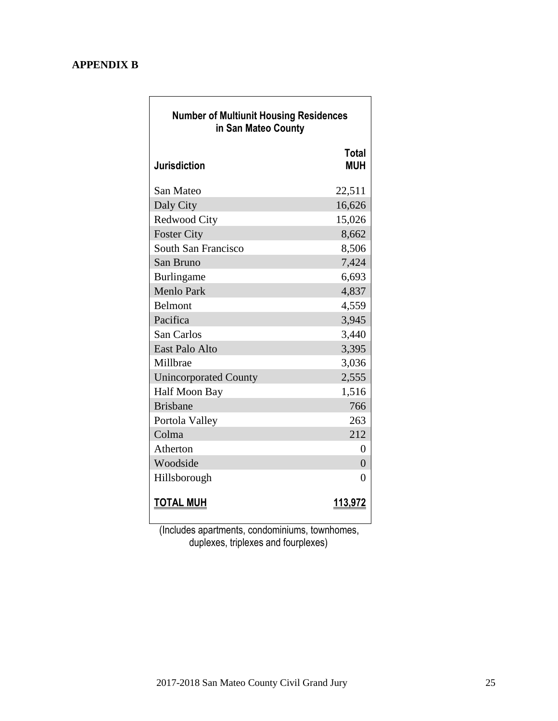## **[APPENDIX B](#page-3-0)**

| <b>Number of Multiunit Housing Residences</b><br>in San Mateo County |                            |  |  |  |  |
|----------------------------------------------------------------------|----------------------------|--|--|--|--|
| <b>Jurisdiction</b>                                                  | <b>Total</b><br><b>MUH</b> |  |  |  |  |
| San Mateo                                                            | 22,511                     |  |  |  |  |
| Daly City                                                            | 16,626                     |  |  |  |  |
| Redwood City                                                         | 15,026                     |  |  |  |  |
| <b>Foster City</b>                                                   | 8,662                      |  |  |  |  |
| South San Francisco                                                  | 8,506                      |  |  |  |  |
| San Bruno                                                            | 7,424                      |  |  |  |  |
| Burlingame                                                           | 6,693                      |  |  |  |  |
| <b>Menlo Park</b>                                                    | 4,837                      |  |  |  |  |
| Belmont                                                              | 4,559                      |  |  |  |  |
| Pacifica                                                             | 3,945                      |  |  |  |  |
| San Carlos                                                           | 3,440                      |  |  |  |  |
| East Palo Alto                                                       | 3,395                      |  |  |  |  |
| Millbrae                                                             | 3,036                      |  |  |  |  |
| <b>Unincorporated County</b>                                         | 2,555                      |  |  |  |  |
| Half Moon Bay                                                        | 1,516                      |  |  |  |  |
| <b>Brisbane</b>                                                      | 766                        |  |  |  |  |
| Portola Valley                                                       | 263                        |  |  |  |  |
| Colma                                                                | 212                        |  |  |  |  |
| Atherton                                                             | $\overline{0}$             |  |  |  |  |
| Woodside                                                             | $\theta$                   |  |  |  |  |
| Hillsborough                                                         | 0                          |  |  |  |  |
| <u>TOTAL MUH</u>                                                     | <u> 113,972</u>            |  |  |  |  |

 (Includes apartments, condominiums, townhomes, duplexes, triplexes and fourplexes)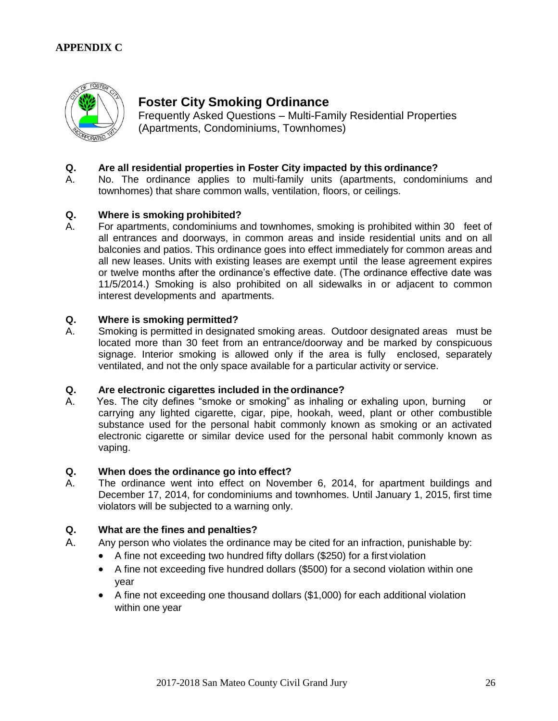## **[APPENDIX C](#page-3-0)**



# **Foster City Smoking Ordinance**

Frequently Asked Questions – Multi-Family Residential Properties (Apartments, Condominiums, Townhomes)

#### **Q. Are all residential properties in Foster City impacted by this ordinance?**

A. No. The ordinance applies to multi-family units (apartments, condominiums and townhomes) that share common walls, ventilation, floors, or ceilings.

#### **Q. Where is smoking prohibited?**

A. For apartments, condominiums and townhomes, smoking is prohibited within 30 feet of all entrances and doorways, in common areas and inside residential units and on all balconies and patios. This ordinance goes into effect immediately for common areas and all new leases. Units with existing leases are exempt until the lease agreement expires or twelve months after the ordinance's effective date. (The ordinance effective date was 11/5/2014.) Smoking is also prohibited on all sidewalks in or adjacent to common interest developments and apartments.

#### **Q. Where is smoking permitted?**

A. Smoking is permitted in designated smoking areas. Outdoor designated areas must be located more than 30 feet from an entrance/doorway and be marked by conspicuous signage. Interior smoking is allowed only if the area is fully enclosed, separately ventilated, and not the only space available for a particular activity or service.

#### **Q. Are electronic cigarettes included in the ordinance?**

A. Yes. The city defines "smoke or smoking" as inhaling or exhaling upon, burning carrying any lighted cigarette, cigar, pipe, hookah, weed, plant or other combustible substance used for the personal habit commonly known as smoking or an activated electronic cigarette or similar device used for the personal habit commonly known as vaping.

#### **Q. When does the ordinance go into effect?**

A. The ordinance went into effect on November 6, 2014, for apartment buildings and December 17, 2014, for condominiums and townhomes. Until January 1, 2015, first time violators will be subjected to a warning only.

#### **Q. What are the fines and penalties?**

- A. Any person who violates the ordinance may be cited for an infraction, punishable by:
	- A fine not exceeding two hundred fifty dollars (\$250) for a first violation
	- A fine not exceeding five hundred dollars (\$500) for a second violation within one year
	- A fine not exceeding one thousand dollars (\$1,000) for each additional violation within one year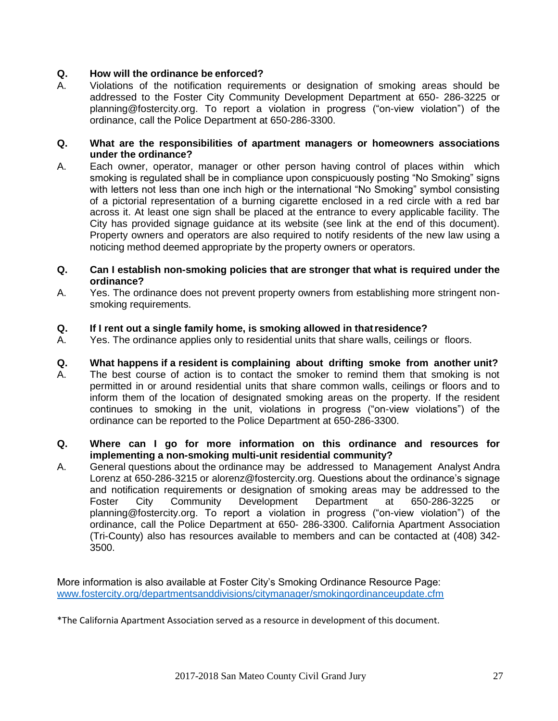#### **Q. How will the ordinance be enforced?**

A. Violations of the notification requirements or designation of smoking areas should be addressed to the Foster City Community Development Department at 650- 286-3225 or [planning@fostercity.org.](mailto:planning@fostercity.org) To report a violation in progress ("on-view violation") of the ordinance, call the Police Department at 650-286-3300.

#### **Q. What are the responsibilities of apartment managers or homeowners associations under the ordinance?**

- A. Each owner, operator, manager or other person having control of places within which smoking is regulated shall be in compliance upon conspicuously posting "No Smoking" signs with letters not less than one inch high or the international "No Smoking" symbol consisting of a pictorial representation of a burning cigarette enclosed in a red circle with a red bar across it. At least one sign shall be placed at the entrance to every applicable facility. The City has provided signage guidance at its website (see link at the end of this document). Property owners and operators are also required to notify residents of the new law using a noticing method deemed appropriate by the property owners or operators.
- **Q. Can I establish non-smoking policies that are stronger that what is required under the ordinance?**
- A. Yes. The ordinance does not prevent property owners from establishing more stringent nonsmoking requirements.

#### **Q. If I rent out a single family home, is smoking allowed in thatresidence?**

A. Yes. The ordinance applies only to residential units that share walls, ceilings or floors.

#### **Q. What happens if a resident is complaining about drifting smoke from another unit?**

A. The best course of action is to contact the smoker to remind them that smoking is not permitted in or around residential units that share common walls, ceilings or floors and to inform them of the location of designated smoking areas on the property. If the resident continues to smoking in the unit, violations in progress ("on-view violations") of the ordinance can be reported to the Police Department at 650-286-3300.

#### **Q. Where can I go for more information on this ordinance and resources for implementing a non-smoking multi-unit residential community?**

A. General questions about the ordinance may be addressed to Management Analyst Andra Lorenz at 650-286-3215 or [alorenz@fostercity.org.](mailto:alorenz@fostercity.org) Questions about the ordinance's signage and notification requirements or designation of smoking areas may be addressed to the<br>Foster City Community Development Department at 650-286-3225 or City Community Development Department at 650-286-3225 or [planning@fostercity.org.](mailto:planning@fostercity.org) To report a violation in progress ("on-view violation") of the ordinance, call the Police Department at 650- 286-3300. California Apartment Association (Tri-County) also has resources available to members and can be contacted at (408) 342- 3500.

More information is also available at Foster City's Smoking Ordinance Resource Page: [www.fostercity.org/departmentsanddivisions/citymanager/smokingordinanceupdate.cfm](http://www.fostercity.org/departmentsanddivisions/citymanager/smokingordinanceupdate.cfm)

\*The California Apartment Association served as a resource in development of this document.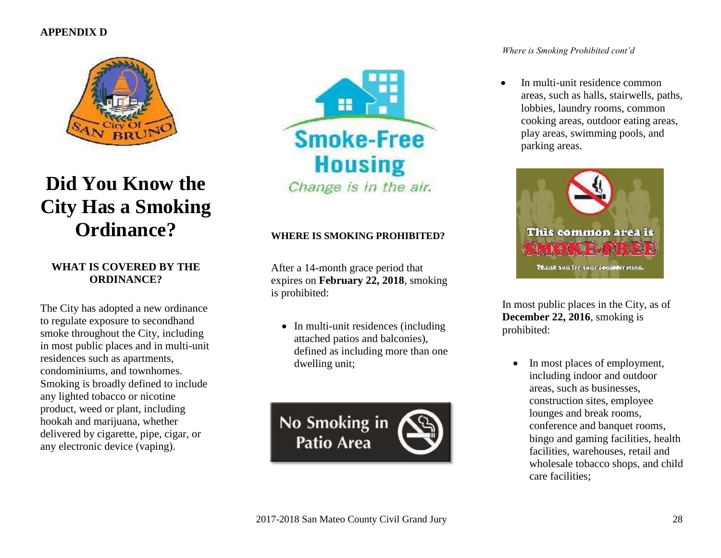## **[APPENDIX D](#page-3-0)**



# **Did You Know the City Has a Smoking Ordinance?**

#### **WHAT IS COVERED BY THE ORDINANCE?**

The City has adopted a new ordinance to regulate exposure to secondhand smoke throughout the City, including in most public places and in multi-unit residences such as apartments, condominiums, and townhomes. Smoking is broadly defined to include any lighted tobacco or nicotine product, weed or plant, including hookah and marijuana, whether delivered by cigarette, pipe, cigar, or any electronic device (vaping).



#### **WHERE IS SMOKING PROHIBITED?**

After a 14-month grace period that expires on **February 22, 2018**, smoking is prohibited:

• In multi-unit residences (including attached patios and balconies), defined as including more than one dwelling unit;



#### *Where is Smoking Prohibited cont'd*

 In multi-unit residence common areas, such as halls, stairwells, paths, lobbies, laundry rooms, common cooking areas, outdoor eating areas, play areas, swimming pools, and parking areas.



In most public places in the City, as of **December 22, 2016**, smoking is prohibited:

• In most places of employment, including indoor and outdoor areas, such as businesses, construction sites, employee lounges and break rooms, conference and banquet rooms, bingo and gaming facilities, health facilities, warehouses, retail and wholesale tobacco shops, and child care facilities;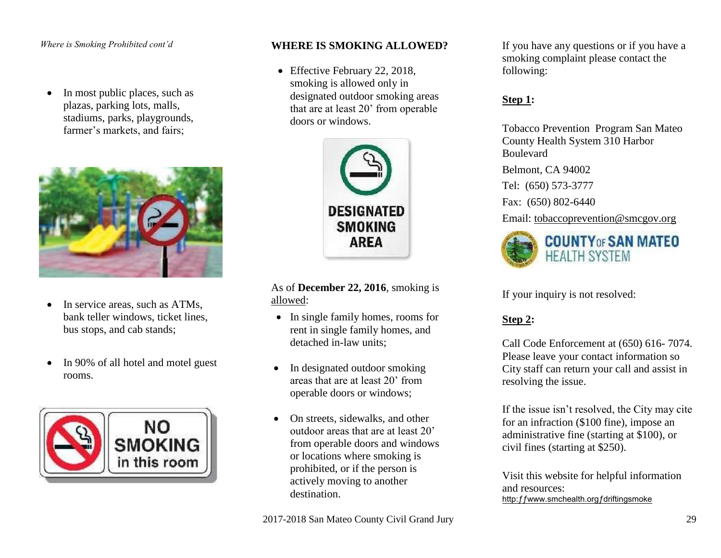#### *Where is Smoking Prohibited cont'd*

• In most public places, such as plazas, parking lots, malls, stadiums, parks, playgrounds, farmer's markets, and fairs;



- In service areas, such as ATMs, bank teller windows, ticket lines, bus stops, and cab stands;
- In 90% of all hotel and motel guest rooms.



#### **WHERE IS SMOKING ALLOWED?**

• Effective February 22, 2018, smoking is allowed only in designated outdoor smoking areas that are at least 20' from operable doors or windows.



As of **December 22, 2016**, smoking is allowed:

- In single family homes, rooms for rent in single family homes, and detached in-law units;
- In designated outdoor smoking areas that are at least 20' from operable doors or windows;
- On streets, sidewalks, and other outdoor areas that are at least 20' from operable doors and windows or locations where smoking is prohibited, or if the person is actively moving to another destination.

If you have any questions or if you have a smoking complaint please contact the following:

#### **Step 1:**

Tobacco Prevention Program San Mateo County Health System 310 Harbor Boulevard

Belmont, CA 94002

Tel: (650) 573-3777

Fax: (650) 802-6440

Email: [tobaccoprevention@smcgov.org](mailto:tobaccoprevention@smcgov.org)



If your inquiry is not resolved:

# **Step 2:**

Call Code Enforcement at (650) 616- 7074. Please leave your contact information so City staff can return your call and assist in resolving the issue.

If the issue isn't resolved, the City may cite for an infraction (\$100 fine), impose an administrative fine (starting at \$100), or civil fines (starting at \$250).

Visit this website for helpful information and resources: http: f f www.smchealth.org f driftingsmoke